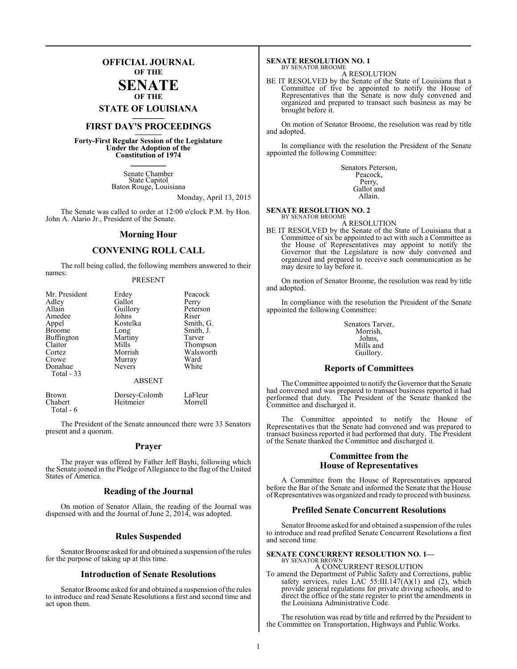### **OFFICIAL JOURNAL OF THE**

### **SENATE OF THE**

**STATE OF LOUISIANA \_\_\_\_\_\_\_**

### **FIRST DAY'S PROCEEDINGS \_\_\_\_\_\_\_**

**Forty-First Regular Session of the Legislature Under the Adoption of the Constitution of 1974 \_\_\_\_\_\_\_**

> Senate Chamber State Capitol Baton Rouge, Louisiana

> > Monday, April 13, 2015

The Senate was called to order at 12:00 o'clock P.M. by Hon. John A. Alario Jr., President of the Senate.

### **Morning Hour**

### **CONVENING ROLL CALL**

The roll being called, the following members answered to their names:

### PRESENT

| Mr. President           | Erdey                      | Peacock            |  |
|-------------------------|----------------------------|--------------------|--|
| Adley                   | Gallot                     | Perry              |  |
| Allain                  | Guillory                   | Peterson           |  |
| Amedee                  | Johns                      | Riser              |  |
| Appel                   | Kostelka                   | Smith, G.          |  |
| <b>Broome</b>           | Long                       | Smith, J.          |  |
| Buffington              | Martiny                    | Tarver             |  |
| Claitor                 | Mills                      | Thompson           |  |
| Cortez                  | Morrish                    | Walsworth          |  |
| Crowe                   | Murray                     | Ward               |  |
| Donahue                 | <b>Nevers</b>              | White              |  |
| Total - 33              |                            |                    |  |
| <b>ABSENT</b>           |                            |                    |  |
| <b>Brown</b><br>Chabert | Dorsey-Colomb<br>Heitmeier | LaFleur<br>Morrell |  |

The President of the Senate announced there were 33 Senators present and a quorum.

Total - 6

### **Prayer**

The prayer was offered by Father Jeff Bayhi, following which the Senate joined in the Pledge of Allegiance to the flag of the United States of America.

### **Reading of the Journal**

On motion of Senator Allain, the reading of the Journal was dispensed with and the Journal of June 2, 2014, was adopted.

### **Rules Suspended**

Senator Broome asked for and obtained a suspension of the rules for the purpose of taking up at this time.

### **Introduction of Senate Resolutions**

Senator Broome asked for and obtained a suspension of the rules to introduce and read Senate Resolutions a first and second time and act upon them.

#### **SENATE RESOLUTION NO. 1** BY SENATOR BROOME

A RESOLUTION

BE IT RESOLVED by the Senate of the State of Louisiana that a Committee of five be appointed to notify the House of Representatives that the Senate is now duly convened and organized and prepared to transact such business as may be brought before it.

On motion of Senator Broome, the resolution was read by title and adopted.

In compliance with the resolution the President of the Senate appointed the following Committee:

> Senators Peterson, Peacock, Perry, Gallot and Allain.

### **SENATE RESOLUTION NO. 2**

BY SENATOR BROOME A RESOLUTION

BE IT RESOLVED by the Senate of the State of Louisiana that a Committee of six be appointed to act with such a Committee as the House of Representatives may appoint to notify the Governor that the Legislature is now duly convened and organized and prepared to receive such communication as he may desire to lay before it.

On motion of Senator Broome, the resolution was read by title and adopted.

In compliance with the resolution the President of the Senate appointed the following Committee:

> Senators Tarver, Morrish, Johns, Mills and Guillory.

### **Reports of Committees**

The Committee appointed to notify the Governor that the Senate had convened and was prepared to transact business reported it had performed that duty. The President of the Senate thanked the Committee and discharged it.

The Committee appointed to notify the House of Representatives that the Senate had convened and was prepared to transact business reported it had performed that duty. The President of the Senate thanked the Committee and discharged it.

### **Committee from the House of Representatives**

A Committee from the House of Representatives appeared before the Bar of the Senate and informed the Senate that the House ofRepresentatives was organized and ready to proceedwith business.

### **Prefiled Senate Concurrent Resolutions**

Senator Broome asked for and obtained a suspension of the rules to introduce and read prefiled Senate Concurrent Resolutions a first and second time.

### **SENATE CONCURRENT RESOLUTION NO. 1—** BY SENATOR BROWN

A CONCURRENT RESOLUTION To amend the Department of Public Safety and Corrections, public safety services, rules LAC  $55:III.147(A)(1)$  and (2), which provide general regulations for private driving schools, and to direct the office of the state register to print the amendments in the Louisiana Administrative Code.

The resolution was read by title and referred by the President to the Committee on Transportation, Highways and Public Works.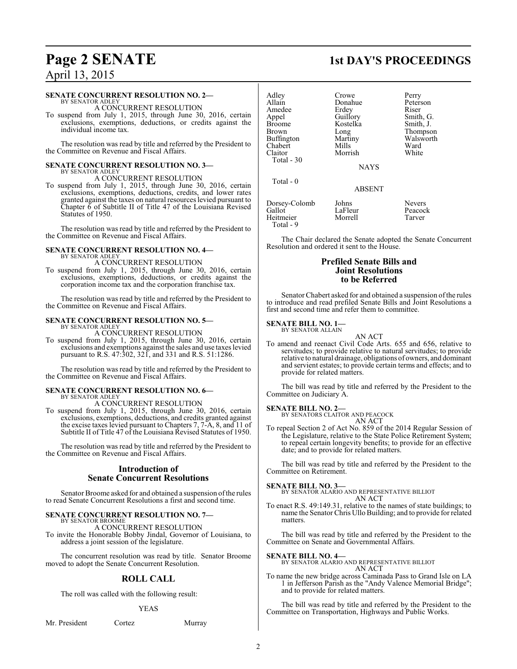### **SENATE CONCURRENT RESOLUTION NO. 2—**

BY SENATOR ADLEY A CONCURRENT RESOLUTION

To suspend from July 1, 2015, through June 30, 2016, certain exclusions, exemptions, deductions, or credits against the individual income tax.

The resolution was read by title and referred by the President to the Committee on Revenue and Fiscal Affairs.

### **SENATE CONCURRENT RESOLUTION NO. 3—** BY SENATOR ADLEY

A CONCURRENT RESOLUTION

To suspend from July 1, 2015, through June 30, 2016, certain exclusions, exemptions, deductions, credits, and lower rates granted against the taxes on natural resources levied pursuant to Chapter  $\bar{6}$  of Subtitle II of Title 47 of the Louisiana Revised Statutes of 1950.

The resolution was read by title and referred by the President to the Committee on Revenue and Fiscal Affairs.

### **SENATE CONCURRENT RESOLUTION NO. 4—** BY SENATOR ADLEY A CONCURRENT RESOLUTION

To suspend from July 1, 2015, through June 30, 2016, certain exclusions, exemptions, deductions, or credits against the corporation income tax and the corporation franchise tax.

The resolution was read by title and referred by the President to the Committee on Revenue and Fiscal Affairs.

#### **SENATE CONCURRENT RESOLUTION NO. 5—** BY SENATOR ADLEY

A CONCURRENT RESOLUTION

To suspend from July 1, 2015, through June 30, 2016, certain exclusions and exemptions against the sales and use taxes levied pursuant to R.S. 47:302, 321, and 331 and R.S. 51:1286.

The resolution was read by title and referred by the President to the Committee on Revenue and Fiscal Affairs.

### **SENATE CONCURRENT RESOLUTION NO. 6—** BY SENATOR ADLEY

A CONCURRENT RESOLUTION

To suspend from July 1, 2015, through June 30, 2016, certain exclusions, exemptions, deductions, and credits granted against the excise taxes levied pursuant to Chapters 7, 7-A, 8, and 11 of Subtitle II of Title 47 of the Louisiana Revised Statutes of 1950.

The resolution was read by title and referred by the President to the Committee on Revenue and Fiscal Affairs.

### **Introduction of Senate Concurrent Resolutions**

Senator Broome asked for and obtained a suspension of the rules to read Senate Concurrent Resolutions a first and second time.

### **SENATE CONCURRENT RESOLUTION NO. 7—** BY SENATOR BROOME

A CONCURRENT RESOLUTION

To invite the Honorable Bobby Jindal, Governor of Louisiana, to address a joint session of the legislature.

The concurrent resolution was read by title. Senator Broome moved to adopt the Senate Concurrent Resolution.

### **ROLL CALL**

The roll was called with the following result:

### YEAS

Mr. President Cortez Murray

### **Page 2 SENATE 1st DAY'S PROCEEDINGS**

| Adley             | Crowe         | Perry         |
|-------------------|---------------|---------------|
| Allain            | Donahue       | Peterson      |
| Amedee            | Erdey         | Riser         |
| Appel             | Guillory      | Smith, G.     |
| <b>Broome</b>     | Kostelka      | Smith, J.     |
| Brown             | Long          | Thompson      |
| <b>Buffington</b> | Martiny       | Walsworth     |
| Chabert           | Mills         | Ward          |
| Claitor           | Morrish       | White         |
| Total - 30        |               |               |
|                   | <b>NAYS</b>   |               |
| Total - 0         |               |               |
|                   | <b>ABSENT</b> |               |
| Dorsey-Colomb     | Johns         | <b>Nevers</b> |
| Gallot            | LaFleur       | Peacock       |
| Heitmeier         | Morrell       | Tarver        |

The Chair declared the Senate adopted the Senate Concurrent Resolution and ordered it sent to the House.

### **Prefiled Senate Bills and Joint Resolutions to be Referred**

Senator Chabert asked for and obtained a suspension of the rules to introduce and read prefiled Senate Bills and Joint Resolutions a first and second time and refer them to committee.

#### **SENATE BILL NO. 1—** BY SENATOR ALLAIN

Total - 9

AN ACT

To amend and reenact Civil Code Arts. 655 and 656, relative to servitudes; to provide relative to natural servitudes; to provide relative to natural drainage, obligations of owners, and dominant and servient estates; to provide certain terms and effects; and to provide for related matters.

The bill was read by title and referred by the President to the Committee on Judiciary A.

### **SENATE BILL NO. 2—**

BY SENATORS CLAITOR AND PEACOCK AN ACT

To repeal Section 2 of Act No. 859 of the 2014 Regular Session of the Legislature, relative to the State Police Retirement System; to repeal certain longevity benefits; to provide for an effective date; and to provide for related matters.

The bill was read by title and referred by the President to the Committee on Retirement.

**SENATE BILL NO. 3—** BY SENATOR ALARIO AND REPRESENTATIVE BILLIOT AN ACT

To enact R.S. 49:149.31, relative to the names of state buildings; to name the Senator Chris Ullo Building; and to provide for related matters.

The bill was read by title and referred by the President to the Committee on Senate and Governmental Affairs.

**SENATE BILL NO. 4—** BY SENATOR ALARIO AND REPRESENTATIVE BILLIOT AN ACT

To name the new bridge across Caminada Pass to Grand Isle on LA 1 in Jefferson Parish as the "Andy Valence Memorial Bridge"; and to provide for related matters.

The bill was read by title and referred by the President to the Committee on Transportation, Highways and Public Works.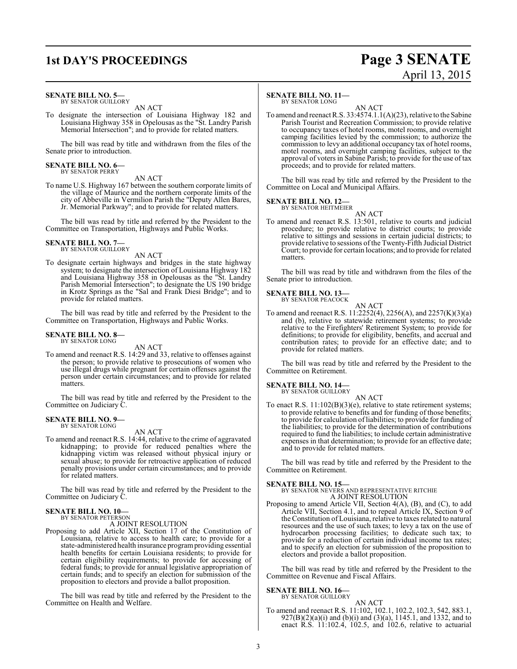# **1st DAY'S PROCEEDINGS Page 3 SENATE** April 13, 2015

### **SENATE BILL NO. 5—**

BY SENATOR GUILLORY AN ACT

To designate the intersection of Louisiana Highway 182 and Louisiana Highway 358 in Opelousas as the "St. Landry Parish Memorial Intersection"; and to provide for related matters.

The bill was read by title and withdrawn from the files of the Senate prior to introduction.

# **SENATE BILL NO. 6—** BY SENATOR PERRY

AN ACT

To name U.S. Highway 167 between the southern corporate limits of the village of Maurice and the northern corporate limits of the city of Abbeville in Vermilion Parish the "Deputy Allen Bares, Jr. Memorial Parkway"; and to provide for related matters.

The bill was read by title and referred by the President to the Committee on Transportation, Highways and Public Works.

#### **SENATE BILL NO. 7—** BY SENATOR GUILLORY

AN ACT

To designate certain highways and bridges in the state highway system; to designate the intersection of Louisiana Highway 182 and Louisiana Highway 358 in Opelousas as the "St. Landry Parish Memorial Intersection"; to designate the US 190 bridge in Krotz Springs as the "Sal and Frank Diesi Bridge"; and to provide for related matters.

The bill was read by title and referred by the President to the Committee on Transportation, Highways and Public Works.

### **SENATE BILL NO. 8—** BY SENATOR LONG

AN ACT

To amend and reenact R.S. 14:29 and 33, relative to offenses against the person; to provide relative to prosecutions of women who use illegal drugs while pregnant for certain offenses against the person under certain circumstances; and to provide for related **matters** 

The bill was read by title and referred by the President to the Committee on Judiciary C.

#### **SENATE BILL NO. 9—** BY SENATOR LONG

AN ACT

To amend and reenact R.S. 14:44, relative to the crime of aggravated kidnapping; to provide for reduced penalties where the kidnapping victim was released without physical injury or sexual abuse; to provide for retroactive application of reduced penalty provisions under certain circumstances; and to provide for related matters.

The bill was read by title and referred by the President to the Committee on Judiciary C.

### **SENATE BILL NO. 10—** BY SENATOR PETERSON

A JOINT RESOLUTION

Proposing to add Article XII, Section 17 of the Constitution of Louisiana, relative to access to health care; to provide for a state-administered health insurance programproviding essential health benefits for certain Louisiana residents; to provide for certain eligibility requirements; to provide for accessing of federal funds; to provide for annual legislative appropriation of certain funds; and to specify an election for submission of the proposition to electors and provide a ballot proposition.

The bill was read by title and referred by the President to the Committee on Health and Welfare.

### **SENATE BILL NO. 11—**

BY SENATOR LONG

AN ACT To amend and reenact R.S. 33:4574.1.1(A)(23), relative to the Sabine Parish Tourist and Recreation Commission; to provide relative to occupancy taxes of hotel rooms, motel rooms, and overnight camping facilities levied by the commission; to authorize the commission to levy an additional occupancy tax of hotel rooms, motel rooms, and overnight camping facilities, subject to the approval of voters in Sabine Parish; to provide for the use of tax proceeds; and to provide for related matters.

The bill was read by title and referred by the President to the Committee on Local and Municipal Affairs.

### **SENATE BILL NO. 12—**<br>BY SENATOR HEITMEIER

AN ACT To amend and reenact R.S. 13:501, relative to courts and judicial procedure; to provide relative to district courts; to provide relative to sittings and sessions in certain judicial districts; to provide relative to sessions of the Twenty-Fifth Judicial District Court; to provide for certain locations; and to provide for related matters.

The bill was read by title and withdrawn from the files of the Senate prior to introduction.

#### **SENATE BILL NO. 13—** BY SENATOR PEACOCK

AN ACT

To amend and reenact R.S. 11:2252(4), 2256(A), and 2257(K)(3)(a) and (b), relative to statewide retirement systems; to provide relative to the Firefighters' Retirement System; to provide for definitions; to provide for eligibility, benefits, and accrual and contribution rates; to provide for an effective date; and to provide for related matters.

The bill was read by title and referred by the President to the Committee on Retirement.

### **SENATE BILL NO. 14—**

BY SENATOR GUILLORY AN ACT

To enact R.S. 11:102(B)(3)(e), relative to state retirement systems; to provide relative to benefits and for funding of those benefits; to provide for calculation of liabilities; to provide for funding of the liabilities; to provide for the determination of contributions required to fund the liabilities; to include certain administrative expenses in that determination; to provide for an effective date; and to provide for related matters.

The bill was read by title and referred by the President to the Committee on Retirement.

### **SENATE BILL NO. 15—**

BY SENATOR NEVERS AND REPRESENTATIVE RITCHIE A JOINT RESOLUTION

Proposing to amend Article VII, Section 4(A), (B), and (C), to add Article VII, Section 4.1, and to repeal Article IX, Section 9 of the Constitution of Louisiana, relative to taxes related to natural resources and the use of such taxes; to levy a tax on the use of hydrocarbon processing facilities; to dedicate such tax; to provide for a reduction of certain individual income tax rates; and to specify an election for submission of the proposition to electors and provide a ballot proposition.

The bill was read by title and referred by the President to the Committee on Revenue and Fiscal Affairs.

### **SENATE BILL NO. 16—**

BY SENATOR GUILLORY

AN ACT To amend and reenact R.S. 11:102, 102.1, 102.2, 102.3, 542, 883.1, 927(B)(2)(a)(i) and (b)(i) and (3)(a), 1145.1, and 1332, and to enact R.S. 11:102.4, 102.5, and 102.6, relative to actuarial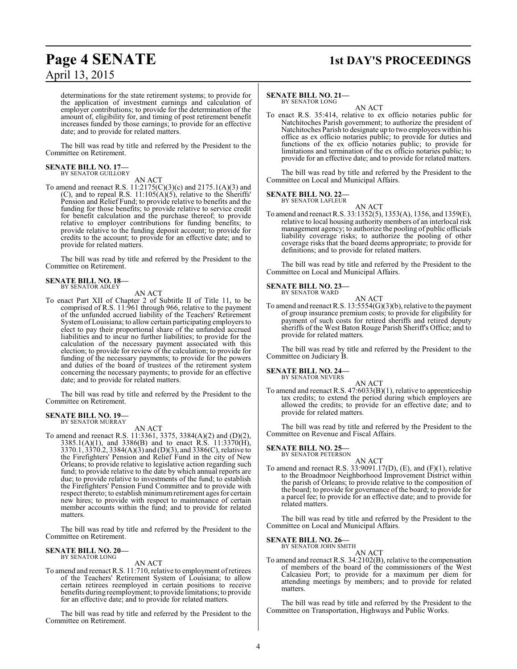# **Page 4 SENATE 1st DAY'S PROCEEDINGS**

determinations for the state retirement systems; to provide for the application of investment earnings and calculation of employer contributions; to provide for the determination of the amount of, eligibility for, and timing of post retirement benefit increases funded by those earnings; to provide for an effective date; and to provide for related matters.

The bill was read by title and referred by the President to the Committee on Retirement.

### **SENATE BILL NO. 17—** BY SENATOR GUILLORY

AN ACT

To amend and reenact R.S. 11:2175(C)(3)(c) and 2175.1(A)(3) and (C), and to repeal R.S.  $11:105(A)(5)$ , relative to the Sheriffs' Pension and Relief Fund; to provide relative to benefits and the funding for those benefits; to provide relative to service credit for benefit calculation and the purchase thereof; to provide relative to employer contributions for funding benefits; to provide relative to the funding deposit account; to provide for credits to the account; to provide for an effective date; and to provide for related matters.

The bill was read by title and referred by the President to the Committee on Retirement.

### **SENATE BILL NO. 18—** BY SENATOR ADLEY

AN ACT

To enact Part XII of Chapter 2 of Subtitle II of Title 11, to be comprised of R.S. 11:961 through 966, relative to the payment of the unfunded accrued liability of the Teachers' Retirement Systemof Louisiana; to allow certain participating employers to elect to pay their proportional share of the unfunded accrued liabilities and to incur no further liabilities; to provide for the calculation of the necessary payment associated with this election; to provide for review of the calculation; to provide for funding of the necessary payments; to provide for the powers and duties of the board of trustees of the retirement system concerning the necessary payments; to provide for an effective date; and to provide for related matters.

The bill was read by title and referred by the President to the Committee on Retirement.

# **SENATE BILL NO. 19—** BY SENATOR MURRAY

AN ACT

To amend and reenact R.S. 11:3361, 3375, 3384(A)(2) and (D)(2),  $3385.1(A)(1)$ , and  $3386(B)$  and to enact R.S.  $11:3370(H)$ , 3370.1, 3370.2, 3384(A)(3) and (D)(3), and 3386(C), relative to the Firefighters' Pension and Relief Fund in the city of New Orleans; to provide relative to legislative action regarding such fund; to provide relative to the date by which annual reports are due; to provide relative to investments of the fund; to establish the Firefighters' Pension Fund Committee and to provide with respect thereto; to establish minimumretirement ages for certain new hires; to provide with respect to maintenance of certain member accounts within the fund; and to provide for related matters.

The bill was read by title and referred by the President to the Committee on Retirement.

### **SENATE BILL NO. 20—** BY SENATOR LONG

### AN ACT

To amend and reenact R.S. 11:710, relative to employment ofretirees of the Teachers' Retirement System of Louisiana; to allow certain retirees reemployed in certain positions to receive benefits during reemployment; to provide limitations; to provide for an effective date; and to provide for related matters.

The bill was read by title and referred by the President to the Committee on Retirement.

### **SENATE BILL NO. 21—** BY SENATOR LONG

AN ACT

To enact R.S. 35:414, relative to ex officio notaries public for Natchitoches Parish government; to authorize the president of Natchitoches Parish to designate up to two employees within his office as ex officio notaries public; to provide for duties and functions of the ex officio notaries public; to provide for limitations and termination of the ex officio notaries public; to provide for an effective date; and to provide for related matters.

The bill was read by title and referred by the President to the Committee on Local and Municipal Affairs.

### **SENATE BILL NO. 22—**

BY SENATOR LAFLEUR AN ACT

To amend and reenact R.S. 33:1352(5), 1353(A), 1356, and 1359(E), relative to local housing authority members of an interlocal risk management agency; to authorize the pooling of public officials liability coverage risks; to authorize the pooling of other coverage risks that the board deems appropriate; to provide for definitions; and to provide for related matters.

The bill was read by title and referred by the President to the Committee on Local and Municipal Affairs.

### **SENATE BILL NO. 23—**<br>BY SENATOR WARD

AN ACT To amend and reenact R.S. 13:5554(G)(3)(b), relative to the payment of group insurance premium costs; to provide for eligibility for payment of such costs for retired sheriffs and retired deputy sheriffs of the West Baton Rouge Parish Sheriff's Office; and to provide for related matters.

The bill was read by title and referred by the President to the Committee on Judiciary B.

### **SENATE BILL NO. 24—**<br>BY SENATOR NEVERS

AN ACT To amend and reenact R.S. 47:6033(B)(1), relative to apprenticeship tax credits; to extend the period during which employers are allowed the credits; to provide for an effective date; and to provide for related matters.

The bill was read by title and referred by the President to the Committee on Revenue and Fiscal Affairs.

### **SENATE BILL NO. 25—** BY SENATOR PETERSON

AN ACT To amend and reenact R.S.  $33:9091.17(D)$ , (E), and (F)(1), relative to the Broadmoor Neighborhood Improvement District within the parish of Orleans; to provide relative to the composition of the board; to provide for governance of the board; to provide for a parcel fee; to provide for an effective date; and to provide for related matters.

The bill was read by title and referred by the President to the Committee on Local and Municipal Affairs.

### **SENATE BILL NO. 26—**

BY SENATOR JOHN SMITH AN ACT

To amend and reenact R.S. 34:2102(B), relative to the compensation of members of the board of the commissioners of the West Calcasieu Port; to provide for a maximum per diem for attending meetings by members; and to provide for related matters.

The bill was read by title and referred by the President to the Committee on Transportation, Highways and Public Works.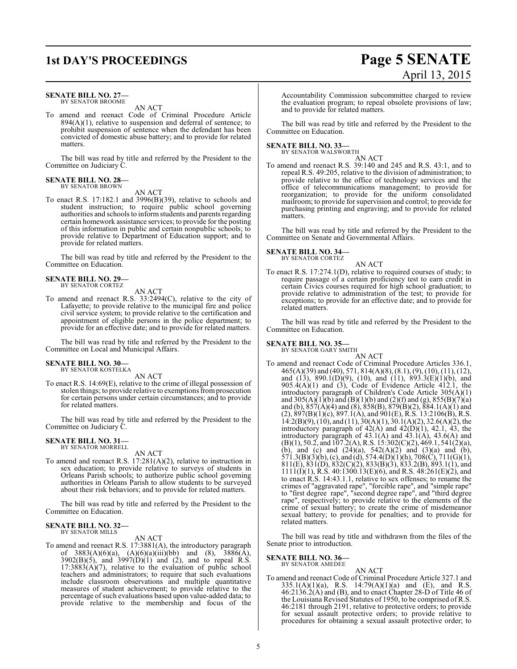### **SENATE BILL NO. 27—** BY SENATOR BROOME

AN ACT

To amend and reenact Code of Criminal Procedure Article  $894(A)(1)$ , relative to suspension and deferral of sentence; to prohibit suspension of sentence when the defendant has been convicted of domestic abuse battery; and to provide for related matters.

The bill was read by title and referred by the President to the Committee on Judiciary C.

### **SENATE BILL NO. 28—** BY SENATOR BROWN

AN ACT

To enact R.S. 17:182.1 and 3996(B)(39), relative to schools and student instruction; to require public school governing authorities and schools to informstudents and parents regarding certain homework assistance services; to provide for the posting of this information in public and certain nonpublic schools; to provide relative to Department of Education support; and to provide for related matters.

The bill was read by title and referred by the President to the Committee on Education.

### **SENATE BILL NO. 29—** BY SENATOR CORTEZ

AN ACT

To amend and reenact R.S. 33:2494(C), relative to the city of Lafayette; to provide relative to the municipal fire and police civil service system; to provide relative to the certification and appointment of eligible persons in the police department; to provide for an effective date; and to provide for related matters.

The bill was read by title and referred by the President to the Committee on Local and Municipal Affairs.

### **SENATE BILL NO. 30—** BY SENATOR KOSTELKA

AN ACT

To enact R.S. 14:69(E), relative to the crime of illegal possession of stolen things; to provide relative to exemptions from prosecution for certain persons under certain circumstances; and to provide for related matters.

The bill was read by title and referred by the President to the Committee on Judiciary C.

## **SENATE BILL NO. 31—** BY SENATOR MORRELL

AN ACT

To amend and reenact R.S. 17:281(A)(2), relative to instruction in sex education; to provide relative to surveys of students in Orleans Parish schools; to authorize public school governing authorities in Orleans Parish to allow students to be surveyed about their risk behaviors; and to provide for related matters.

The bill was read by title and referred by the President to the Committee on Education.

#### **SENATE BILL NO. 32—** BY SENATOR MILLS

AN ACT

To amend and reenact R.S. 17:3881(A), the introductory paragraph of  $3883(A)(6)(a)$ ,  $(A)(6)(a)(iii)(bb)$  and  $(8)$ ,  $3886(A)$ ,  $3902(B)(5)$ , and  $3997(D)(1)$  and (2), and to repeal R.S.  $17:3883(A)(7)$ , relative to the evaluation of public school teachers and administrators; to require that such evaluations include classroom observations and multiple quantitative measures of student achievement; to provide relative to the percentage of such evaluations based upon value-added data; to provide relative to the membership and focus of the

# **1st DAY'S PROCEEDINGS Page 5 SENATE** April 13, 2015

Accountability Commission subcommittee charged to review the evaluation program; to repeal obsolete provisions of law; and to provide for related matters.

The bill was read by title and referred by the President to the Committee on Education.

### **SENATE BILL NO. 33—** BY SENATOR WALSWORTH

AN ACT

To amend and reenact R.S. 39:140 and 245 and R.S. 43:1, and to repeal R.S. 49:205, relative to the division of administration; to provide relative to the office of technology services and the office of telecommunications management; to provide for reorganization; to provide for the uniform consolidated mailroom; to provide for supervision and control; to provide for purchasing printing and engraving; and to provide for related matters.

The bill was read by title and referred by the President to the Committee on Senate and Governmental Affairs.

**SENATE BILL NO. 34—** BY SENATOR CORTEZ

AN ACT

To enact R.S. 17:274.1(D), relative to required courses of study; to require passage of a certain proficiency test to earn credit in certain Civics courses required for high school graduation; to provide relative to administration of the test; to provide for exceptions; to provide for an effective date; and to provide for related matters.

The bill was read by title and referred by the President to the Committee on Education.

### **SENATE BILL NO. 35—**<br>BY SENATOR GARY SMITH

AN ACT To amend and reenact Code of Criminal Procedure Articles 336.1, 465(A)(39) and (40), 571, 814(A)(8), (8.1), (9), (10), (11), (12), and  $(13)$ , 890.1(D)(9), (10), and (11), 893.3(E)(1)(b), and  $905.4(A)(1)$  and  $(3)$ , Code of Evidence Article  $412.1$ , the introductory paragraph of Children's Code Article 305(A)(1) and 305(A)(1)(b) and (B)(1)(b) and (2)(f) and (g),  $855(B)(7)(a)$ and (b),  $857(A)(4)$  and (8),  $858(B)$ ,  $879(B)(2)$ ,  $884.1(A)(1)$  and  $(2), 897(B)(1)(c), 897.1(A),$  and  $901(E), R.S.$  13:2106(B), R.S.  $14:2(B)(9)$ ,  $(10)$ , and  $(11)$ ,  $30(A)(1)$ ,  $30.1(A)(2)$ ,  $32.6(A)(2)$ , the introductory paragraph of  $42(A)$  and  $42(D)(1)$ ,  $42.1$ ,  $43$ , the introductory paragraph of  $43.1(A)$  and  $43.1(A)$ ,  $43.6(A)$  and  $(B)(1), 50.2, and 107.2(A), R.S. 15:302(C)(2), 469.1, 541(2)(a),$ (b), and (c) and  $(24)(a)$ ,  $542(A)(2)$  and  $(3)(a)$  and  $(b)$ ,  $571.3(B)(3)(b)$ , (c), and (d),  $574.4(D)(1)(h)$ ,  $708(C)$ ,  $711(G)(1)$ , 811(E), 831(D), 832(C)(2), 833(B)(3), 833.2(B), 893.1(1), and  $1111(1)(1)$ , R.S. 40:1300.13(E)(6), and R.S. 48:261(E)(2), and to enact R.S. 14:43.1.1, relative to sex offenses; to rename the crimes of "aggravated rape", "forcible rape", and "simple rape" to "first degree rape", "second degree rape", and "third degree rape", respectively; to provide relative to the elements of the crime of sexual battery; to create the crime of misdemeanor sexual battery; to provide for penalties; and to provide for related matters.

The bill was read by title and withdrawn from the files of the Senate prior to introduction.

**SENATE BILL NO. 36—** BY SENATOR AMEDEE

### AN ACT

To amend and reenact Code of Criminal Procedure Article 327.1 and 335.1(A)(1)(a), R.S. 14:79(A)(1)(a) and (E), and R.S. 46:2136.2(A) and (B), and to enact Chapter 28-D of Title 46 of the Louisiana Revised Statutes of 1950, to be comprised of R.S. 46:2181 through 2191, relative to protective orders; to provide for sexual assault protective orders; to provide relative to procedures for obtaining a sexual assault protective order; to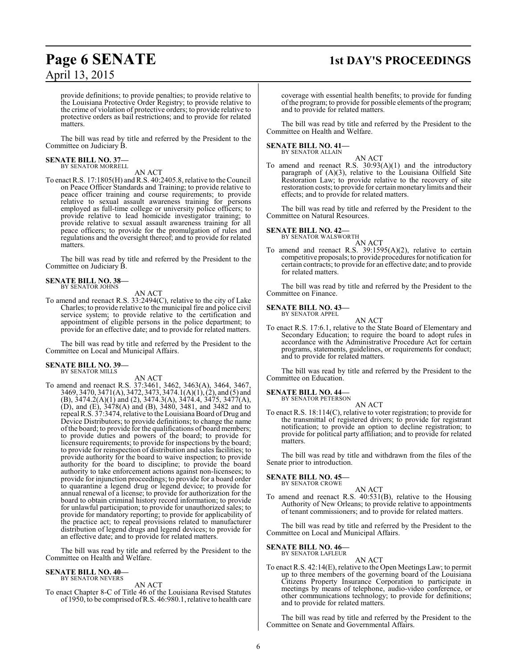# **Page 6 SENATE 1st DAY'S PROCEEDINGS**

provide definitions; to provide penalties; to provide relative to the Louisiana Protective Order Registry; to provide relative to the crime of violation of protective orders; to provide relative to protective orders as bail restrictions; and to provide for related matters.

The bill was read by title and referred by the President to the Committee on Judiciary B.

### **SENATE BILL NO. 37—** BY SENATOR MORRELL

AN ACT

To enact R.S. 17:1805(H) and R.S. 40:2405.8, relative to the Council on Peace Officer Standards and Training; to provide relative to peace officer training and course requirements; to provide relative to sexual assault awareness training for persons employed as full-time college or university police officers; to provide relative to lead homicide investigator training; to provide relative to sexual assault awareness training for all peace officers; to provide for the promulgation of rules and regulations and the oversight thereof; and to provide for related matters.

The bill was read by title and referred by the President to the Committee on Judiciary B.

### **SENATE BILL NO. 38—** BY SENATOR JOHNS

AN ACT

To amend and reenact R.S. 33:2494(C), relative to the city of Lake Charles; to provide relative to the municipal fire and police civil service system; to provide relative to the certification and appointment of eligible persons in the police department; to provide for an effective date; and to provide for related matters.

The bill was read by title and referred by the President to the Committee on Local and Municipal Affairs.

### **SENATE BILL NO. 39—** BY SENATOR MILLS

AN ACT

To amend and reenact R.S. 37:3461, 3462, 3463(A), 3464, 3467, 3469, 3470, 3471(A), 3472, 3473, 3474.1(A)(1), (2), and (5) and (B), 3474.2(A)(1) and (2), 3474.3(A), 3474.4, 3475, 3477(A), (D), and (E), 3478(A) and (B), 3480, 3481, and 3482 and to repeal R.S. 37:3474, relative to theLouisiana Board of Drug and Device Distributors; to provide definitions; to change the name ofthe board; to provide for the qualifications of board members; to provide duties and powers of the board; to provide for licensure requirements; to provide for inspections by the board; to provide for reinspection of distribution and sales facilities; to provide authority for the board to waive inspection; to provide authority for the board to discipline; to provide the board authority to take enforcement actions against non-licensees; to provide for injunction proceedings; to provide for a board order to quarantine a legend drug or legend device; to provide for annual renewal of a license; to provide for authorization for the board to obtain criminal history record information; to provide for unlawful participation; to provide for unauthorized sales; to provide for mandatory reporting; to provide for applicability of the practice act; to repeal provisions related to manufacturer distribution of legend drugs and legend devices; to provide for an effective date; and to provide for related matters.

The bill was read by title and referred by the President to the Committee on Health and Welfare.

#### **SENATE BILL NO. 40—** BY SENATOR NEVERS

AN ACT

To enact Chapter 8-C of Title 46 of the Louisiana Revised Statutes of 1950, to be comprised ofR.S. 46:980.1, relative to health care

coverage with essential health benefits; to provide for funding of the program; to provide for possible elements ofthe program; and to provide for related matters.

The bill was read by title and referred by the President to the Committee on Health and Welfare.

### **SENATE BILL NO. 41—** BY SENATOR ALLAIN

AN ACT To amend and reenact R.S.  $30.93(A)(1)$  and the introductory paragraph of (A)(3), relative to the Louisiana Oilfield Site Restoration Law; to provide relative to the recovery of site restoration costs; to provide for certain monetary limits and their effects; and to provide for related matters.

The bill was read by title and referred by the President to the Committee on Natural Resources.

### **SENATE BILL NO. 42—**<br>BY SENATOR WALSWORTH

AN ACT

To amend and reenact R.S. 39:1595(A)(2), relative to certain competitive proposals; to provide procedures for notification for certain contracts; to provide for an effective date; and to provide for related matters.

The bill was read by title and referred by the President to the Committee on Finance.

#### **SENATE BILL NO. 43—** BY SENATOR APPEL

AN ACT

To enact R.S. 17:6.1, relative to the State Board of Elementary and Secondary Education; to require the board to adopt rules in accordance with the Administrative Procedure Act for certain programs, statements, guidelines, or requirements for conduct; and to provide for related matters.

The bill was read by title and referred by the President to the Committee on Education.

**SENATE BILL NO. 44—**

BY SENATOR PETERSON

AN ACT To enact R.S. 18:114(C), relative to voter registration; to provide for the transmittal of registered drivers; to provide for registrant notification; to provide an option to decline registration; to provide for political party affiliation; and to provide for related matters.

The bill was read by title and withdrawn from the files of the Senate prior to introduction.

### **SENATE BILL NO. 45—** BY SENATOR CROWE

AN ACT

To amend and reenact R.S. 40:531(B), relative to the Housing Authority of New Orleans; to provide relative to appointments of tenant commissioners; and to provide for related matters.

The bill was read by title and referred by the President to the Committee on Local and Municipal Affairs.

### **SENATE BILL NO. 46—** BY SENATOR LAFLEUR

### AN ACT

To enact R.S. 42:14(E), relative to the Open Meetings Law; to permit up to three members of the governing board of the Louisiana Citizens Property Insurance Corporation to participate in meetings by means of telephone, audio-video conference, or other communications technology; to provide for definitions; and to provide for related matters.

The bill was read by title and referred by the President to the Committee on Senate and Governmental Affairs.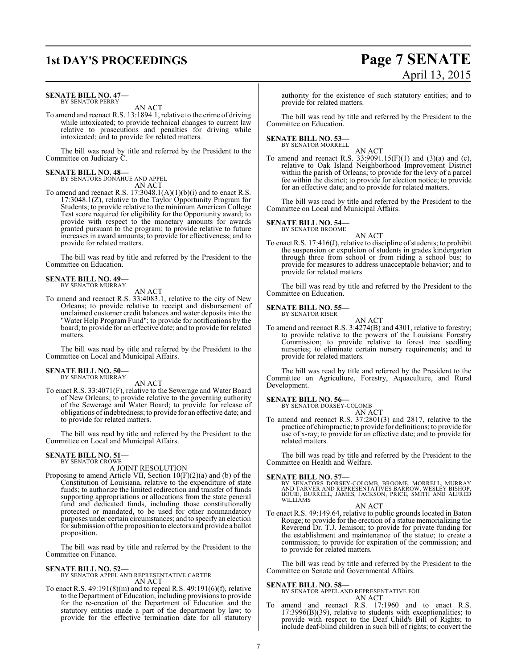### **SENATE BILL NO. 47—** BY SENATOR PERRY

AN ACT

To amend and reenact R.S. 13:1894.1, relative to the crime of driving while intoxicated; to provide technical changes to current law relative to prosecutions and penalties for driving while intoxicated; and to provide for related matters.

The bill was read by title and referred by the President to the Committee on Judiciary C.

### **SENATE BILL NO. 48—** BY SENATORS DONAHUE AND APPEL

AN ACT To amend and reenact R.S.  $17:3048.1(A)(1)(b)(i)$  and to enact R.S. 17:3048.1(Z), relative to the Taylor Opportunity Program for Students; to provide relative to the minimum American College Test score required for eligibility for the Opportunity award; to provide with respect to the monetary amounts for awards granted pursuant to the program; to provide relative to future increases in award amounts; to provide for effectiveness; and to provide for related matters.

The bill was read by title and referred by the President to the Committee on Education.

### **SENATE BILL NO. 49—** BY SENATOR MURRAY

AN ACT

To amend and reenact R.S. 33:4083.1, relative to the city of New Orleans; to provide relative to receipt and disbursement of unclaimed customer credit balances and water deposits into the "Water Help Program Fund"; to provide for notifications by the board; to provide for an effective date; and to provide for related matters.

The bill was read by title and referred by the President to the Committee on Local and Municipal Affairs.

### **SENATE BILL NO. 50—** BY SENATOR MURRAY

AN ACT

To enact R.S. 33:4071(F), relative to the Sewerage and Water Board of New Orleans; to provide relative to the governing authority of the Sewerage and Water Board; to provide for release of obligations ofindebtedness; to provide for an effective date; and to provide for related matters.

The bill was read by title and referred by the President to the Committee on Local and Municipal Affairs.

#### **SENATE BILL NO. 51—** BY SENATOR CROWE

A JOINT RESOLUTION

Proposing to amend Article VII, Section 10(F)(2)(a) and (b) of the Constitution of Louisiana, relative to the expenditure of state funds; to authorize the limited redirection and transfer of funds supporting appropriations or allocations from the state general fund and dedicated funds, including those constitutionally protected or mandated, to be used for other nonmandatory purposes under certain circumstances; and to specify an election for submission ofthe proposition to electors and provide a ballot proposition.

The bill was read by title and referred by the President to the Committee on Finance.

### **SENATE BILL NO. 52—**

BY SENATOR APPEL AND REPRESENTATIVE CARTER AN ACT

To enact R.S. 49:191(8)(m) and to repeal R.S. 49:191(6)(f), relative to the Department of Education, including provisions to provide for the re-creation of the Department of Education and the statutory entities made a part of the department by law; to provide for the effective termination date for all statutory

authority for the existence of such statutory entities; and to provide for related matters.

The bill was read by title and referred by the President to the Committee on Education.

### **SENATE BILL NO. 53—** BY SENATOR MORRELL

AN ACT

To amend and reenact R.S.  $33:9091.15(F)(1)$  and  $(3)(a)$  and  $(c)$ , relative to Oak Island Neighborhood Improvement District within the parish of Orleans; to provide for the levy of a parcel fee within the district; to provide for election notice; to provide for an effective date; and to provide for related matters.

The bill was read by title and referred by the President to the Committee on Local and Municipal Affairs.

### **SENATE BILL NO. 54—**

BY SENATOR BROOME AN ACT

To enact R.S.  $17:416(J)$ , relative to discipline of students; to prohibit the suspension or expulsion of students in grades kindergarten through three from school or from riding a school bus; to provide for measures to address unacceptable behavior; and to provide for related matters.

The bill was read by title and referred by the President to the Committee on Education.

**SENATE BILL NO. 55—** BY SENATOR RISER

AN ACT

To amend and reenact R.S. 3:4274(B) and 4301, relative to forestry; to provide relative to the powers of the Louisiana Forestry Commission; to provide relative to forest tree seedling nurseries; to eliminate certain nursery requirements; and to provide for related matters.

The bill was read by title and referred by the President to the Committee on Agriculture, Forestry, Aquaculture, and Rural Development.

### **SENATE BILL NO. 56—** BY SENATOR DORSEY-COLOMB

AN ACT

To amend and reenact R.S. 37:2801(3) and 2817, relative to the practice of chiropractic; to provide for definitions; to provide for use of x-ray; to provide for an effective date; and to provide for related matters.

The bill was read by title and referred by the President to the Committee on Health and Welfare.

### **SENATE BILL NO. 57—**

BY SENATORS DORSEY-COLOMB, BROOME, MORRELL, MURRAY<br>AND TARVER AND REPRESENTATIVES BARROW, WESLEY BISHOP,<br>BOUIE, BURRELL, JAMES, JACKSON, PRICE, SMITH AND ALFRED WILLIAMS

### AN ACT

To enact R.S. 49:149.64, relative to public grounds located in Baton Rouge; to provide for the erection of a statue memorializing the Reverend Dr. T.J. Jemison; to provide for private funding for the establishment and maintenance of the statue; to create a commission; to provide for expiration of the commission; and to provide for related matters.

The bill was read by title and referred by the President to the Committee on Senate and Governmental Affairs.

### **SENATE BILL NO. 58—**

BY SENATOR APPEL AND REPRESENTATIVE FOIL

- AN ACT
- To amend and reenact R.S. 17:1960 and to enact R.S. 17:3996(B)(39), relative to students with exceptionalities; to provide with respect to the Deaf Child's Bill of Rights; to include deaf-blind children in such bill of rights; to convert the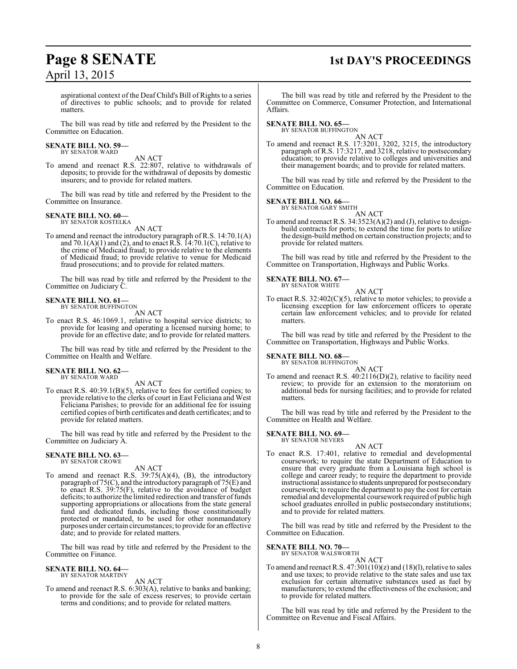# **Page 8 SENATE 1st DAY'S PROCEEDINGS**

aspirational context of the Deaf Child's Bill of Rights to a series of directives to public schools; and to provide for related matters.

The bill was read by title and referred by the President to the Committee on Education.

### **SENATE BILL NO. 59—** BY SENATOR WARD

AN ACT

To amend and reenact R.S. 22:807, relative to withdrawals of deposits; to provide for the withdrawal of deposits by domestic insurers; and to provide for related matters.

The bill was read by title and referred by the President to the Committee on Insurance.

### **SENATE BILL NO. 60—** BY SENATOR KOSTELKA

AN ACT

To amend and reenact the introductory paragraph of R.S. 14:70.1(A) and  $70.1(A)(1)$  and (2), and to enact R.S.  $14:70.1(C)$ , relative to the crime of Medicaid fraud; to provide relative to the elements of Medicaid fraud; to provide relative to venue for Medicaid fraud prosecutions; and to provide for related matters.

The bill was read by title and referred by the President to the Committee on Judiciary C.

### **SENATE BILL NO. 61—** BY SENATOR BUFFINGTON

AN ACT

To enact R.S. 46:1069.1, relative to hospital service districts; to provide for leasing and operating a licensed nursing home; to provide for an effective date; and to provide for related matters.

The bill was read by title and referred by the President to the Committee on Health and Welfare.

### **SENATE BILL NO. 62—** BY SENATOR WARD

AN ACT

To enact R.S. 40:39.1(B)(5), relative to fees for certified copies; to provide relative to the clerks of court in East Feliciana and West Feliciana Parishes; to provide for an additional fee for issuing certified copies of birth certificates and death certificates; and to provide for related matters.

The bill was read by title and referred by the President to the Committee on Judiciary A.

#### **SENATE BILL NO. 63—** BY SENATOR CROWE

AN ACT

To amend and reenact R.S. 39:75(A)(4), (B), the introductory paragraph of 75(C), and the introductory paragraph of 75(E) and to enact R.S. 39:75(F), relative to the avoidance of budget deficits; to authorize the limited redirection and transfer of funds supporting appropriations or allocations from the state general fund and dedicated funds, including those constitutionally protected or mandated, to be used for other nonmandatory purposes under certain circumstances; to provide for an effective date; and to provide for related matters.

The bill was read by title and referred by the President to the Committee on Finance.

### **SENATE BILL NO. 64—** BY SENATOR MARTINY

AN ACT

To amend and reenact R.S. 6:303(A), relative to banks and banking; to provide for the sale of excess reserves; to provide certain terms and conditions; and to provide for related matters.

The bill was read by title and referred by the President to the Committee on Commerce, Consumer Protection, and International Affairs.

### **SENATE BILL NO. 65—**

BY SENATOR BUFFINGTON

AN ACT To amend and reenact R.S. 17:3201, 3202, 3215, the introductory paragraph of R.S. 17:3217, and 3218, relative to postsecondary education; to provide relative to colleges and universities and their management boards; and to provide for related matters.

The bill was read by title and referred by the President to the Committee on Education.

### **SENATE BILL NO. 66—**<br>BY SENATOR GARY SMITH

AN ACT

To amend and reenact R.S. 34:3523(A)(2) and (J), relative to designbuild contracts for ports; to extend the time for ports to utilize the design-build method on certain construction projects; and to provide for related matters.

The bill was read by title and referred by the President to the Committee on Transportation, Highways and Public Works.

#### **SENATE BILL NO. 67—** BY SENATOR WHITE

AN ACT

To enact R.S. 32:402(C)(5), relative to motor vehicles; to provide a licensing exception for law enforcement officers to operate certain law enforcement vehicles; and to provide for related matters.

The bill was read by title and referred by the President to the Committee on Transportation, Highways and Public Works.

### **SENATE BILL NO. 68—** BY SENATOR BUFFINGTON

AN ACT

To amend and reenact R.S. 40:2116(D)(2), relative to facility need review; to provide for an extension to the moratorium on additional beds for nursing facilities; and to provide for related matters.

The bill was read by title and referred by the President to the Committee on Health and Welfare.

#### **SENATE BILL NO. 69—** BY SENATOR NEVERS

AN ACT

To enact R.S. 17:401, relative to remedial and developmental coursework; to require the state Department of Education to ensure that every graduate from a Louisiana high school is college and career ready; to require the department to provide instructional assistance to students unprepared for postsecondary coursework; to require the department to pay the cost for certain remedial and developmental coursework required of public high school graduates enrolled in public postsecondary institutions; and to provide for related matters.

The bill was read by title and referred by the President to the Committee on Education.

### **SENATE BILL NO. 70—**<br>BY SENATOR WALSWORTH

AN ACT

To amend and reenact R.S.  $47:301(10)(z)$  and  $(18)(1)$ , relative to sales and use taxes; to provide relative to the state sales and use tax exclusion for certain alternative substances used as fuel by manufacturers; to extend the effectiveness of the exclusion; and to provide for related matters.

The bill was read by title and referred by the President to the Committee on Revenue and Fiscal Affairs.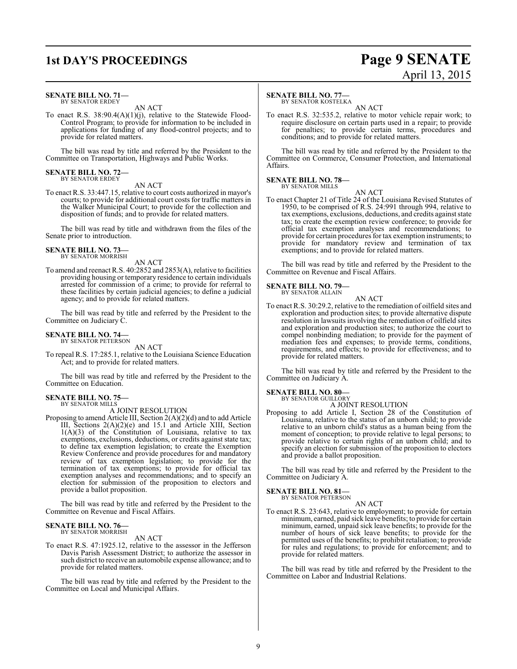### **SENATE BILL NO. 71—** BY SENATOR ERDEY

AN ACT

To enact R.S. 38:90.4(A)(1)(j), relative to the Statewide Flood-Control Program; to provide for information to be included in applications for funding of any flood-control projects; and to provide for related matters.

The bill was read by title and referred by the President to the Committee on Transportation, Highways and Public Works.

### **SENATE BILL NO. 72—** BY SENATOR ERDEY

AN ACT

To enact R.S. 33:447.15, relative to court costs authorized in mayor's courts; to provide for additional court costs for traffic matters in the Walker Municipal Court; to provide for the collection and disposition of funds; and to provide for related matters.

The bill was read by title and withdrawn from the files of the Senate prior to introduction.

### **SENATE BILL NO. 73—** BY SENATOR MORRISH

AN ACT

To amend and reenact R.S. 40:2852 and 2853(A), relative to facilities providing housing or temporary residence to certain individuals arrested for commission of a crime; to provide for referral to these facilities by certain judicial agencies; to define a judicial agency; and to provide for related matters.

The bill was read by title and referred by the President to the Committee on Judiciary C.

### **SENATE BILL NO. 74—**

BY SENATOR PETERSON AN ACT

To repeal R.S. 17:285.1, relative to the Louisiana Science Education Act; and to provide for related matters.

The bill was read by title and referred by the President to the Committee on Education.

### **SENATE BILL NO. 75—** BY SENATOR MILLS

A JOINT RESOLUTION

Proposing to amend Article III, Section 2(A)(2)(d) and to add Article III, Sections 2(A)(2)(e) and 15.1 and Article XIII, Section 1(A)(3) of the Constitution of Louisiana, relative to tax exemptions, exclusions, deductions, or credits against state tax; to define tax exemption legislation; to create the Exemption Review Conference and provide procedures for and mandatory review of tax exemption legislation; to provide for the termination of tax exemptions; to provide for official tax exemption analyses and recommendations; and to specify an election for submission of the proposition to electors and provide a ballot proposition.

The bill was read by title and referred by the President to the Committee on Revenue and Fiscal Affairs.

### **SENATE BILL NO. 76—** BY SENATOR MORRISH

AN ACT

To enact R.S. 47:1925.12, relative to the assessor in the Jefferson Davis Parish Assessment District; to authorize the assessor in such district to receive an automobile expense allowance; and to provide for related matters.

The bill was read by title and referred by the President to the Committee on Local and Municipal Affairs.

### **SENATE BILL NO. 77—**

BY SENATOR KOSTELKA

AN ACT To enact R.S. 32:535.2, relative to motor vehicle repair work; to require disclosure on certain parts used in a repair; to provide for penalties; to provide certain terms, procedures and conditions; and to provide for related matters.

The bill was read by title and referred by the President to the Committee on Commerce, Consumer Protection, and International Affairs.

### **SENATE BILL NO. 78—** BY SENATOR MILLS

AN ACT

To enact Chapter 21 of Title 24 of the Louisiana Revised Statutes of 1950, to be comprised of R.S. 24:991 through 994, relative to tax exemptions, exclusions, deductions, and credits against state tax; to create the exemption review conference; to provide for official tax exemption analyses and recommendations; to provide for certain procedures for tax exemption instruments; to provide for mandatory review and termination of tax exemptions; and to provide for related matters.

The bill was read by title and referred by the President to the Committee on Revenue and Fiscal Affairs.

#### **SENATE BILL NO. 79—** BY SENATOR ALLAIN

AN ACT To enact R.S. 30:29.2, relative to the remediation of oilfield sites and exploration and production sites; to provide alternative dispute resolution in lawsuits involving the remediation of oilfield sites and exploration and production sites; to authorize the court to compel nonbinding mediation; to provide for the payment of mediation fees and expenses; to provide terms, conditions, requirements, and effects; to provide for effectiveness; and to provide for related matters.

The bill was read by title and referred by the President to the Committee on Judiciary A.

### **SENATE BILL NO. 80—**

BY SENATOR GUILLORY A JOINT RESOLUTION

Proposing to add Article I, Section 28 of the Constitution of Louisiana, relative to the status of an unborn child; to provide relative to an unborn child's status as a human being from the moment of conception; to provide relative to legal persons; to provide relative to certain rights of an unborn child; and to specify an election for submission of the proposition to electors and provide a ballot proposition.

The bill was read by title and referred by the President to the Committee on Judiciary A.

### **SENATE BILL NO. 81—**<br>BY SENATOR PETERSON

AN ACT

To enact R.S. 23:643, relative to employment; to provide for certain minimum, earned, paid sick leave benefits; to provide for certain minimum, earned, unpaid sick leave benefits; to provide for the number of hours of sick leave benefits; to provide for the permitted uses of the benefits; to prohibit retaliation; to provide for rules and regulations; to provide for enforcement; and to provide for related matters.

The bill was read by title and referred by the President to the Committee on Labor and Industrial Relations.

9

### **1st DAY'S PROCEEDINGS Page 9 SENATE** April 13, 2015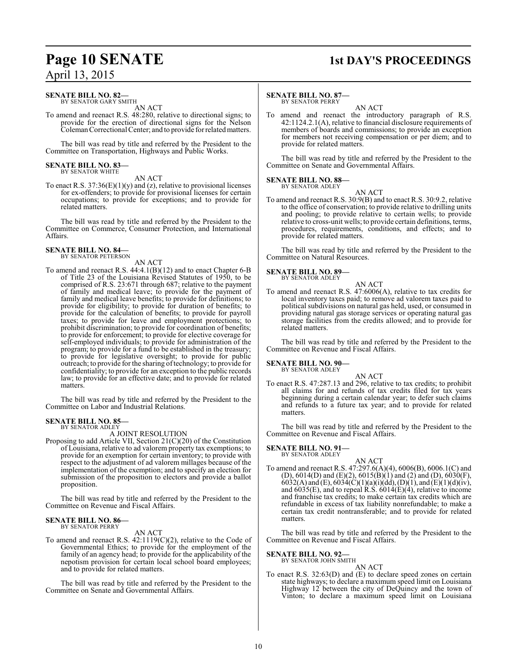### **Page 10 SENATE** 1st DAY'S PROCEEDINGS

### **SENATE BILL NO. 82—**

BY SENATOR GARY SMITH AN ACT

To amend and reenact R.S. 48:280, relative to directional signs; to provide for the erection of directional signs for the Nelson ColemanCorrectional Center; and to provide for relatedmatters.

The bill was read by title and referred by the President to the Committee on Transportation, Highways and Public Works.

### **SENATE BILL NO. 83—** BY SENATOR WHITE

AN ACT

To enact R.S.  $37:36(E)(1)(y)$  and (z), relative to provisional licenses for ex-offenders; to provide for provisional licenses for certain occupations; to provide for exceptions; and to provide for related matters.

The bill was read by title and referred by the President to the Committee on Commerce, Consumer Protection, and International Affairs.

## **SENATE BILL NO. 84—** BY SENATOR PETERSON

AN ACT

To amend and reenact R.S. 44:4.1(B)(12) and to enact Chapter 6-B of Title 23 of the Louisiana Revised Statutes of 1950, to be comprised of R.S. 23:671 through 687; relative to the payment of family and medical leave; to provide for the payment of family and medical leave benefits; to provide for definitions; to provide for eligibility; to provide for duration of benefits; to provide for the calculation of benefits; to provide for payroll taxes; to provide for leave and employment protections; to prohibit discrimination; to provide for coordination of benefits; to provide for enforcement; to provide for elective coverage for self-employed individuals; to provide for administration of the program; to provide for a fund to be established in the treasury; to provide for legislative oversight; to provide for public outreach; to provide for the sharing oftechnology; to provide for confidentiality; to provide for an exception to the public records law; to provide for an effective date; and to provide for related matters.

The bill was read by title and referred by the President to the Committee on Labor and Industrial Relations.

### **SENATE BILL NO. 85—** BY SENATOR ADLEY

A JOINT RESOLUTION

Proposing to add Article VII, Section 21(C)(20) of the Constitution of Louisiana, relative to ad valorem property tax exemptions; to provide for an exemption for certain inventory; to provide with respect to the adjustment of ad valorem millages because of the implementation of the exemption; and to specify an election for submission of the proposition to electors and provide a ballot proposition.

The bill was read by title and referred by the President to the Committee on Revenue and Fiscal Affairs.

### **SENATE BILL NO. 86—** BY SENATOR PERRY

AN ACT

To amend and reenact R.S.  $42:1119(C)(2)$ , relative to the Code of Governmental Ethics; to provide for the employment of the family of an agency head; to provide for the applicability of the nepotism provision for certain local school board employees; and to provide for related matters.

The bill was read by title and referred by the President to the Committee on Senate and Governmental Affairs.

### **SENATE BILL NO. 87—**

BY SENATOR PERRY

AN ACT To amend and reenact the introductory paragraph of R.S. 42:1124.2.1(A), relative to financial disclosure requirements of members of boards and commissions; to provide an exception for members not receiving compensation or per diem; and to provide for related matters.

The bill was read by title and referred by the President to the Committee on Senate and Governmental Affairs.

#### **SENATE BILL NO. 88—** BY SENATOR ADLEY

AN ACT

To amend and reenact R.S. 30:9(B) and to enact R.S. 30:9.2, relative to the office of conservation; to provide relative to drilling units and pooling; to provide relative to certain wells; to provide relative to cross-unit wells; to provide certain definitions, terms, procedures, requirements, conditions, and effects; and to provide for related matters.

The bill was read by title and referred by the President to the Committee on Natural Resources.

### **SENATE BILL NO. 89—** BY SENATOR ADLEY

- AN ACT
- To amend and reenact R.S. 47:6006(A), relative to tax credits for local inventory taxes paid; to remove ad valorem taxes paid to political subdivisions on natural gas held, used, or consumed in providing natural gas storage services or operating natural gas storage facilities from the credits allowed; and to provide for related matters.

The bill was read by title and referred by the President to the Committee on Revenue and Fiscal Affairs.

### **SENATE BILL NO. 90—**

BY SENATOR ADLEY

AN ACT To enact R.S. 47:287.13 and 296, relative to tax credits; to prohibit all claims for and refunds of tax credits filed for tax years beginning during a certain calendar year; to defer such claims and refunds to a future tax year; and to provide for related matters.

The bill was read by title and referred by the President to the Committee on Revenue and Fiscal Affairs.

### **SENATE BILL NO. 91—**

BY SENATOR ADLEY

AN ACT To amend and reenact R.S. 47:297.6(A)(4), 6006(B), 6006.1(C) and (D), 6014(D) and (E)(2), 6015(B)(1) and (2) and (D), 6030(F), 6032(A) and (E), 6034(C)(1)(a)(i)(dd), (D)(1), and (E)(1)(d)(iv), and 6035(E), and to repeal R.S. 6014(E)(4), relative to income and franchise tax credits; to make certain tax credits which are refundable in excess of tax liability nonrefundable; to make a certain tax credit nontransferable; and to provide for related matters.

The bill was read by title and referred by the President to the Committee on Revenue and Fiscal Affairs.

### **SENATE BILL NO. 92—**

BY SENATOR JOHN SMITH

AN ACT To enact R.S. 32:63(D) and (E) to declare speed zones on certain state highways; to declare a maximum speed limit on Louisiana Highway 12 between the city of DeQuincy and the town of Vinton; to declare a maximum speed limit on Louisiana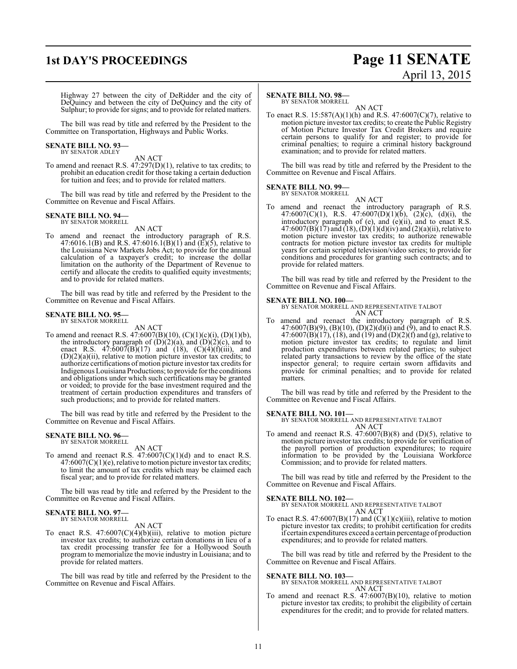### **1st DAY'S PROCEEDINGS Page 11 SENATE** April 13, 2015

Highway 27 between the city of DeRidder and the city of DeQuincy and between the city of DeQuincy and the city of Sulphur; to provide for signs; and to provide for related matters.

The bill was read by title and referred by the President to the Committee on Transportation, Highways and Public Works.

#### **SENATE BILL NO. 93—** BY SENATOR ADLEY

AN ACT

To amend and reenact R.S. 47:297(D)(1), relative to tax credits; to prohibit an education credit for those taking a certain deduction for tuition and fees; and to provide for related matters.

The bill was read by title and referred by the President to the Committee on Revenue and Fiscal Affairs.

### **SENATE BILL NO. 94—** BY SENATOR MORRELL

AN ACT

To amend and reenact the introductory paragraph of R.S. 47:6016.1(B) and R.S. 47:6016.1(B)(1) and (E)(5), relative to the Louisiana New Markets Jobs Act; to provide for the annual calculation of a taxpayer's credit; to increase the dollar limitation on the authority of the Department of Revenue to certify and allocate the credits to qualified equity investments; and to provide for related matters.

The bill was read by title and referred by the President to the Committee on Revenue and Fiscal Affairs.

### **SENATE BILL NO. 95—** BY SENATOR MORRELL

AN ACT

To amend and reenact R.S. 47:6007(B)(10), (C)(1)(c)(i), (D)(1)(b), the introductory paragraph of  $(D)(2)(a)$ , and  $(D)(2)(c)$ , and to enact R.S.  $47:6007(B)(17)$  and  $(18)$ ,  $(C)(4)(f)(iii)$ , and (D)(2)(a)(ii), relative to motion picture investor tax credits; to authorize certifications of motion picture investor tax credits for Indigenous Louisiana Productions; to provide for the conditions and obligations under which such certifications may be granted or voided; to provide for the base investment required and the treatment of certain production expenditures and transfers of such productions; and to provide for related matters.

The bill was read by title and referred by the President to the Committee on Revenue and Fiscal Affairs.

### **SENATE BILL NO. 96—** BY SENATOR MORRELL

AN ACT

To amend and reenact R.S.  $47:6007(C)(1)(d)$  and to enact R.S.  $47:6007(C)(1)(e)$ , relative to motion picture investor tax credits; to limit the amount of tax credits which may be claimed each fiscal year; and to provide for related matters.

The bill was read by title and referred by the President to the Committee on Revenue and Fiscal Affairs.

#### **SENATE BILL NO. 97—** BY SENATOR MORRELL

AN ACT

To enact R.S. 47:6007(C)(4)(b)(iii), relative to motion picture investor tax credits; to authorize certain donations in lieu of a tax credit processing transfer fee for a Hollywood South program to memorialize the movie industry in Louisiana; and to provide for related matters.

The bill was read by title and referred by the President to the Committee on Revenue and Fiscal Affairs.

### **SENATE BILL NO. 98—**

BY SENATOR MORRELL

AN ACT To enact R.S. 15:587(A)(1)(h) and R.S. 47:6007(C)(7), relative to motion picture investor tax credits; to create the Public Registry of Motion Picture Investor Tax Credit Brokers and require certain persons to qualify for and register; to provide for criminal penalties; to require a criminal history background examination; and to provide for related matters.

The bill was read by title and referred by the President to the Committee on Revenue and Fiscal Affairs.

### **SENATE BILL NO. 99—** BY SENATOR MORRELL

AN ACT

To amend and reenact the introductory paragraph of R.S. 47:6007(C)(1), R.S. 47:6007(D)(1)(b), (2)(c), (d)(i), the introductory paragraph of (e), and (e)(ii), and to enact R.S. 47:6007(B)(17) and (18), (D)(1)(d)(iv) and (2)(a)(ii), relative to motion picture investor tax credits; to authorize renewable contracts for motion picture investor tax credits for multiple years for certain scripted television/video series; to provide for conditions and procedures for granting such contracts; and to provide for related matters.

The bill was read by title and referred by the President to the Committee on Revenue and Fiscal Affairs.

### **SENATE BILL NO. 100—**

BY SENATOR MORRELL AND REPRESENTATIVE TALBOT AN ACT

To amend and reenact the introductory paragraph of R.S.  $47:6007(B)(9)$ ,  $(B)(10)$ ,  $(D)(2)(d)(i)$  and  $(9)$ , and to enact R.S.  $47:6007(B)(17)$ ,  $(18)$ , and  $(19)$  and  $(D)(2)(f)$  and  $(g)$ , relative to motion picture investor tax credits; to regulate and limit production expenditures between related parties; to subject related party transactions to review by the office of the state inspector general; to require certain sworn affidavits and provide for criminal penalties; and to provide for related matters.

The bill was read by title and referred by the President to the Committee on Revenue and Fiscal Affairs.

### **SENATE BILL NO. 101—**

BY SENATOR MORRELL AND REPRESENTATIVE TALBOT AN ACT

To amend and reenact R.S.  $47:6007(B)(8)$  and  $(D)(5)$ , relative to motion picture investor tax credits; to provide for verification of the payroll portion of production expenditures; to require information to be provided by the Louisiana Workforce Commission; and to provide for related matters.

The bill was read by title and referred by the President to the Committee on Revenue and Fiscal Affairs.

### **SENATE BILL NO. 102—**

BY SENATOR MORRELL AND REPRESENTATIVE TALBOT AN ACT

To enact R.S.  $47:6007(B)(17)$  and  $(C)(1)(c)(iii)$ , relative to motion picture investor tax credits; to prohibit certification for credits if certain expenditures exceed a certain percentage of production expenditures; and to provide for related matters.

The bill was read by title and referred by the President to the Committee on Revenue and Fiscal Affairs.

**SENATE BILL NO. 103—** BY SENATOR MORRELL AND REPRESENTATIVE TALBOT AN ACT

To amend and reenact R.S. 47:6007(B)(10), relative to motion picture investor tax credits; to prohibit the eligibility of certain expenditures for the credit; and to provide for related matters.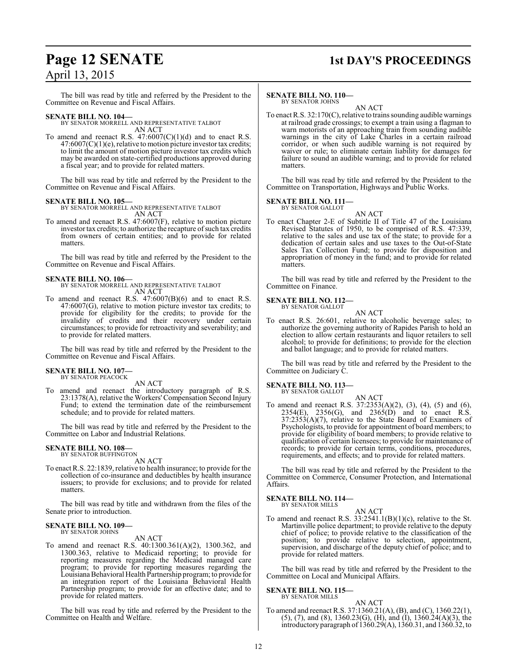## **Page 12 SENATE 1st DAY'S PROCEEDINGS**

### April 13, 2015

The bill was read by title and referred by the President to the Committee on Revenue and Fiscal Affairs.

### **SENATE BILL NO. 104—**

BY SENATOR MORRELL AND REPRESENTATIVE TALBOT AN ACT

To amend and reenact R.S.  $47:6007(C)(1)(d)$  and to enact R.S.  $47:6007(C)(1)(e)$ , relative to motion picture investor tax credits; to limit the amount of motion picture investor tax credits which may be awarded on state-certified productions approved during a fiscal year; and to provide for related matters.

The bill was read by title and referred by the President to the Committee on Revenue and Fiscal Affairs.

**SENATE BILL NO. 105—** BY SENATOR MORRELL AND REPRESENTATIVE TALBOT AN ACT

To amend and reenact R.S. 47:6007(F), relative to motion picture investor tax credits; to authorize the recapture of such tax credits from owners of certain entities; and to provide for related matters.

The bill was read by title and referred by the President to the Committee on Revenue and Fiscal Affairs.

### **SENATE BILL NO. 106—**

BY SENATOR MORRELL AND REPRESENTATIVE TALBOT AN ACT

To amend and reenact R.S. 47:6007(B)(6) and to enact R.S. 47:6007(G), relative to motion picture investor tax credits; to provide for eligibility for the credits; to provide for the invalidity of credits and their recovery under certain circumstances; to provide for retroactivity and severability; and to provide for related matters.

The bill was read by title and referred by the President to the Committee on Revenue and Fiscal Affairs.

## **SENATE BILL NO. 107—** BY SENATOR PEACOCK

AN ACT

To amend and reenact the introductory paragraph of R.S. 23:1378(A), relative the Workers' Compensation Second Injury Fund; to extend the termination date of the reimbursement schedule; and to provide for related matters.

The bill was read by title and referred by the President to the Committee on Labor and Industrial Relations.

### **SENATE BILL NO. 108—** BY SENATOR BUFFINGTON

AN ACT

To enact R.S. 22:1839, relative to health insurance; to provide for the collection of co-insurance and deductibles by health insurance issuers; to provide for exclusions; and to provide for related matters.

The bill was read by title and withdrawn from the files of the Senate prior to introduction.

#### **SENATE BILL NO. 109—** BY SENATOR JOHNS

AN ACT

To amend and reenact R.S. 40:1300.361(A)(2), 1300.362, and 1300.363, relative to Medicaid reporting; to provide for reporting measures regarding the Medicaid managed care program; to provide for reporting measures regarding the Louisiana Behavioral Health Partnership program; to provide for an integration report of the Louisiana Behavioral Health Partnership program; to provide for an effective date; and to provide for related matters.

The bill was read by title and referred by the President to the Committee on Health and Welfare.

### **SENATE BILL NO. 110—** BY SENATOR JOHNS

AN ACT

To enact R.S. 32:170(C), relative to trains sounding audible warnings at railroad grade crossings; to exempt a train using a flagman to warn motorists of an approaching train from sounding audible warnings in the city of Lake Charles in a certain railroad corridor, or when such audible warning is not required by waiver or rule; to eliminate certain liability for damages for failure to sound an audible warning; and to provide for related matters.

The bill was read by title and referred by the President to the Committee on Transportation, Highways and Public Works.

### **SENATE BILL NO. 111—** BY SENATOR GALLOT

AN ACT To enact Chapter 2-E of Subtitle II of Title 47 of the Louisiana Revised Statutes of 1950, to be comprised of R.S. 47:339, relative to the sales and use tax of the state; to provide for a dedication of certain sales and use taxes to the Out-of-State Sales Tax Collection Fund; to provide for disposition and appropriation of money in the fund; and to provide for related matters.

The bill was read by title and referred by the President to the Committee on Finance.

### **SENATE BILL NO. 112—** BY SENATOR GALLOT

AN ACT

To enact R.S. 26:601, relative to alcoholic beverage sales; to authorize the governing authority of Rapides Parish to hold an election to allow certain restaurants and liquor retailers to sell alcohol; to provide for definitions; to provide for the election and ballot language; and to provide for related matters.

The bill was read by title and referred by the President to the Committee on Judiciary C.

### **SENATE BILL NO. 113—**

BY SENATOR GALLOT

AN ACT To amend and reenact R.S. 37:2353(A)(2), (3), (4), (5) and (6),  $2354(E)$ ,  $2356(G)$ , and  $2365(D)$  and to enact R.S.  $37:2353(A)(7)$ , relative to the State Board of Examiners of Psychologists, to provide for appointment of board members; to provide for eligibility of board members; to provide relative to qualification of certain licensees; to provide for maintenance of records; to provide for certain terms, conditions, procedures, requirements, and effects; and to provide for related matters.

The bill was read by title and referred by the President to the Committee on Commerce, Consumer Protection, and International Affairs.

#### **SENATE BILL NO. 114—** BY SENATOR MILLS

AN ACT

To amend and reenact R.S. 33:2541.1(B)(1)(c), relative to the St. Martinville police department; to provide relative to the deputy chief of police; to provide relative to the classification of the position; to provide relative to selection, appointment, supervision, and discharge of the deputy chief of police; and to provide for related matters.

The bill was read by title and referred by the President to the Committee on Local and Municipal Affairs.

#### **SENATE BILL NO. 115—** BY SENATOR MILLS

AN ACT To amend and reenact R.S. 37:1360.21(A), (B), and (C), 1360.22(1),  $(5)$ ,  $(7)$ , and  $(8)$ , 1360.23 $(G)$ ,  $(H)$ , and  $(H)$ , 1360.24 $(A)(3)$ , the introductory paragraph of 1360.29(A), 1360.31, and 1360.32, to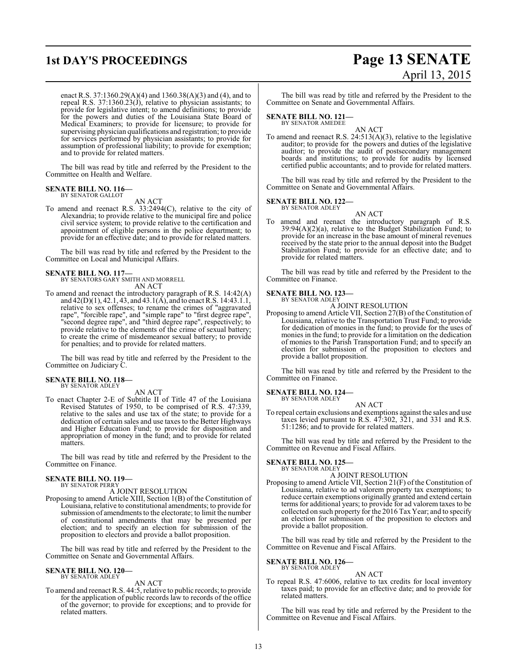# **1st DAY'S PROCEEDINGS Page 13 SENATE** April 13, 2015

enact R.S. 37:1360.29(A)(4) and 1360.38(A)(3) and (4), and to repeal R.S. 37:1360.23(J), relative to physician assistants; to provide for legislative intent; to amend definitions; to provide for the powers and duties of the Louisiana State Board of Medical Examiners; to provide for licensure; to provide for supervising physician qualifications and registration; to provide for services performed by physician assistants; to provide for assumption of professional liability; to provide for exemption; and to provide for related matters.

The bill was read by title and referred by the President to the Committee on Health and Welfare.

#### **SENATE BILL NO. 116—** BY SENATOR GALLOT

AN ACT

To amend and reenact R.S. 33:2494(C), relative to the city of Alexandria; to provide relative to the municipal fire and police civil service system; to provide relative to the certification and appointment of eligible persons in the police department; to provide for an effective date; and to provide for related matters.

The bill was read by title and referred by the President to the Committee on Local and Municipal Affairs.

# **SENATE BILL NO. 117—** BY SENATORS GARY SMITH AND MORRELL

AN ACT

To amend and reenact the introductory paragraph of R.S. 14:42(A) and 42(D)(1), 42.1, 43, and 43.1(A), and to enact R.S. 14:43.1.1, relative to sex offenses; to rename the crimes of "aggravated rape", "forcible rape", and "simple rape" to "first degree rape", "second degree rape", and "third degree rape", respectively; to provide relative to the elements of the crime of sexual battery; to create the crime of misdemeanor sexual battery; to provide for penalties; and to provide for related matters.

The bill was read by title and referred by the President to the Committee on Judiciary C.

## **SENATE BILL NO. 118—** BY SENATOR ADLEY

### AN ACT

To enact Chapter 2-E of Subtitle II of Title 47 of the Louisiana Revised Statutes of 1950, to be comprised of R.S. 47:339, relative to the sales and use tax of the state; to provide for a dedication of certain sales and use taxes to the Better Highways and Higher Education Fund; to provide for disposition and appropriation of money in the fund; and to provide for related matters.

The bill was read by title and referred by the President to the Committee on Finance.

### **SENATE BILL NO. 119—** BY SENATOR PERRY

A JOINT RESOLUTION

Proposing to amend Article XIII, Section 1(B) of the Constitution of Louisiana, relative to constitutional amendments; to provide for submission of amendments to the electorate; to limit the number of constitutional amendments that may be presented per election; and to specify an election for submission of the proposition to electors and provide a ballot proposition.

The bill was read by title and referred by the President to the Committee on Senate and Governmental Affairs.

### **SENATE BILL NO. 120—** BY SENATOR ADLEY

AN ACT

To amend and reenact R.S. 44:5, relative to public records; to provide for the application of public records law to records of the office of the governor; to provide for exceptions; and to provide for related matters.

The bill was read by title and referred by the President to the Committee on Senate and Governmental Affairs.

### **SENATE BILL NO. 121—**

BY SENATOR AMEDEE

AN ACT To amend and reenact R.S. 24:513(A)(3), relative to the legislative auditor; to provide for the powers and duties of the legislative auditor; to provide the audit of postsecondary management boards and institutions; to provide for audits by licensed certified public accountants; and to provide for related matters.

The bill was read by title and referred by the President to the Committee on Senate and Governmental Affairs.

### **SENATE BILL NO. 122—** BY SENATOR ADLEY

- AN ACT
- To amend and reenact the introductory paragraph of R.S. 39:94(A)(2)(a), relative to the Budget Stabilization Fund; to provide for an increase in the base amount of mineral revenues received by the state prior to the annual deposit into the Budget Stabilization Fund; to provide for an effective date; and to provide for related matters.

The bill was read by title and referred by the President to the Committee on Finance.

#### **SENATE BILL NO. 123—** BY SENATOR ADLEY

A JOINT RESOLUTION

Proposing to amend Article VII, Section 27(B) of the Constitution of Louisiana, relative to the Transportation Trust Fund; to provide for dedication of monies in the fund; to provide for the uses of monies in the fund; to provide for a limitation on the dedication of monies to the Parish Transportation Fund; and to specify an election for submission of the proposition to electors and provide a ballot proposition.

The bill was read by title and referred by the President to the Committee on Finance.

### **SENATE BILL NO. 124—**

BY SENATOR ADLEY

AN ACT To repeal certain exclusions and exemptions against the sales and use taxes levied pursuant to R.S. 47:302, 321, and 331 and R.S. 51:1286; and to provide for related matters.

The bill was read by title and referred by the President to the Committee on Revenue and Fiscal Affairs.

### **SENATE BILL NO. 125—** BY SENATOR ADLEY

### A JOINT RESOLUTION

Proposing to amend Article VII, Section 21(F) of the Constitution of Louisiana, relative to ad valorem property tax exemptions; to reduce certain exemptions originally granted and extend certain terms for additional years; to provide for ad valorem taxes to be collected on such property for the 2016 Tax Year; and to specify an election for submission of the proposition to electors and provide a ballot proposition.

The bill was read by title and referred by the President to the Committee on Revenue and Fiscal Affairs.

### **SENATE BILL NO. 126—** BY SENATOR ADLEY

AN ACT

To repeal R.S. 47:6006, relative to tax credits for local inventory taxes paid; to provide for an effective date; and to provide for related matters.

The bill was read by title and referred by the President to the Committee on Revenue and Fiscal Affairs.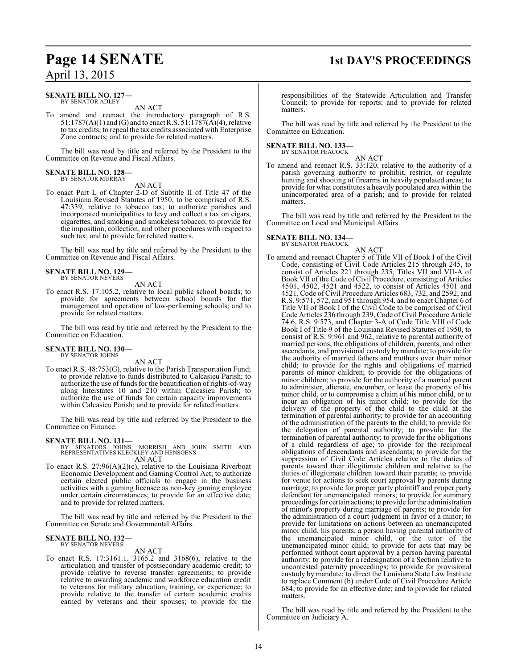### **Page 14 SENATE** 1st DAY'S PROCEEDINGS April 13, 2015

### **SENATE BILL NO. 127—** BY SENATOR ADLEY

AN ACT

To amend and reenact the introductory paragraph of R.S. 51:1787(A)(1) and (G) and to enact R.S. 51:1787(A)(4), relative to tax credits; to repeal the tax credits associated with Enterprise Zone contracts; and to provide for related matters.

The bill was read by title and referred by the President to the Committee on Revenue and Fiscal Affairs.

#### **SENATE BILL NO. 128—** BY SENATOR MURRAY

AN ACT

To enact Part L of Chapter 2-D of Subtitle II of Title 47 of the Louisiana Revised Statutes of 1950, to be comprised of R.S. 47:339, relative to tobacco tax; to authorize parishes and incorporated municipalities to levy and collect a tax on cigars, cigarettes, and smoking and smokeless tobacco; to provide for the imposition, collection, and other procedures with respect to such tax; and to provide for related matters.

The bill was read by title and referred by the President to the Committee on Revenue and Fiscal Affairs.

### **SENATE BILL NO. 129—** BY SENATOR NEVERS

AN ACT

To enact R.S. 17:105.2, relative to local public school boards; to provide for agreements between school boards for the management and operation of low-performing schools; and to provide for related matters.

The bill was read by title and referred by the President to the Committee on Education.

#### **SENATE BILL NO. 130—** BY SENATOR JOHNS

AN ACT

To enact R.S. 48:753(G), relative to the Parish Transportation Fund; to provide relative to funds distributed to Calcasieu Parish; to authorize the use of funds for the beautification ofrights-of-way along Interstates 10 and 210 within Calcasieu Parish; to authorize the use of funds for certain capacity improvements within Calcasieu Parish; and to provide for related matters.

The bill was read by title and referred by the President to the Committee on Finance.

### **SENATE BILL NO. 131—**

BY SENATORS JOHNS, MORRISH AND JOHN SMITH AND REPRESENTATIVES KLECKLEY AND HENSGENS AN ACT

To enact R.S. 27:96(A)(2)(c), relative to the Louisiana Riverboat Economic Development and Gaming Control Act; to authorize certain elected public officials to engage in the business activities with a gaming licensee as non-key gaming employee under certain circumstances; to provide for an effective date; and to provide for related matters.

The bill was read by title and referred by the President to the Committee on Senate and Governmental Affairs.

#### **SENATE BILL NO. 132—** BY SENATOR NEVERS

AN ACT

To enact R.S. 17:3161.1, 3165.2 and 3168(6), relative to the articulation and transfer of postsecondary academic credit; to provide relative to reverse transfer agreements; to provide relative to awarding academic and workforce education credit to veterans for military education, training, or experience; to provide relative to the transfer of certain academic credits earned by veterans and their spouses; to provide for the

responsibilities of the Statewide Articulation and Transfer Council; to provide for reports; and to provide for related matters.

The bill was read by title and referred by the President to the Committee on Education.

### **SENATE BILL NO. 133—** BY SENATOR PEACOCK

AN ACT To amend and reenact R.S. 33:120, relative to the authority of a parish governing authority to prohibit, restrict, or regulate hunting and shooting of firearms in heavily populated areas; to provide for what constitutes a heavily populated area within the unincorporated area of a parish; and to provide for related matters.

The bill was read by title and referred by the President to the Committee on Local and Municipal Affairs.

**SENATE BILL NO. 134—** BY SENATOR PEACOCK

### AN ACT

To amend and reenact Chapter 5 of Title VII of Book I of the Civil Code, consisting of Civil Code Articles 215 through 245, to consist of Articles 221 through 235, Titles VII and VII-A of Book VII of the Code of Civil Procedure, consisting of Articles 4501, 4502, 4521 and 4522, to consist of Articles 4501 and 4521, Code of Civil Procedure Articles 683, 732, and 2592, and R.S. 9:571, 572, and 951 through 954, and to enact Chapter 6 of Title VII of Book I of the Civil Code to be comprised of Civil Code Articles 236 through 239, Code of Civil Procedure Article 74.6, R.S. 9:573, and Chapter 3-A of Code Title VIII of Code Book I of Title 9 of the Louisiana Revised Statutes of 1950, to consist of R.S. 9:961 and 962, relative to parental authority of married persons, the obligations of children, parents, and other ascendants, and provisional custody by mandate; to provide for the authority of married fathers and mothers over their minor child; to provide for the rights and obligations of married parents of minor children; to provide for the obligations of minor children; to provide for the authority of a married parent to administer, alienate, encumber, or lease the property of his minor child, or to compromise a claim of his minor child, or to incur an obligation of his minor child; to provide for the delivery of the property of the child to the child at the termination of parental authority; to provide for an accounting of the administration of the parents to the child; to provide for the delegation of parental authority; to provide for the termination of parental authority; to provide for the obligations of a child regardless of age; to provide for the reciprocal obligations of descendants and ascendants; to provide for the suppression of Civil Code Articles relative to the duties of parents toward their illegitimate children and relative to the duties of illegitimate children toward their parents; to provide for venue for actions to seek court approval by parents during marriage; to provide for proper party plaintiff and proper party defendant for unemancipated minors; to provide for summary proceedings for certain actions; to provide for the administration of minor's property during marriage of parents; to provide for the administration of a court judgment in favor of a minor; to provide for limitations on actions between an unemancipated minor child, his parents, a person having parental authority of the unemancipated minor child, or the tutor of the unemancipated minor child; to provide for acts that may be performed without court approval by a person having parental authority; to provide for a redesignation of a Section relative to uncontested paternity proceedings; to provide for provisional custody by mandate; to direct the Louisiana State Law Institute to replace Comment (b) under Code of Civil Procedure Article 684; to provide for an effective date; and to provide for related matters.

The bill was read by title and referred by the President to the Committee on Judiciary A.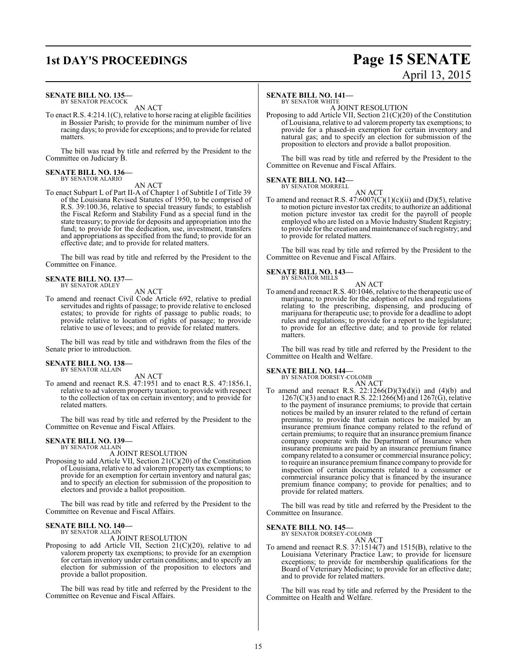### **SENATE BILL NO. 135—** BY SENATOR PEACOCK

AN ACT

To enact R.S. 4:214.1(C), relative to horse racing at eligible facilities in Bossier Parish; to provide for the minimum number of live racing days; to provide for exceptions; and to provide for related matters.

The bill was read by title and referred by the President to the Committee on Judiciary B.

### **SENATE BILL NO. 136—** BY SENATOR ALARIO

AN ACT

To enact Subpart L of Part II-A of Chapter 1 of Subtitle I of Title 39 of the Louisiana Revised Statutes of 1950, to be comprised of R.S. 39:100.36, relative to special treasury funds; to establish the Fiscal Reform and Stability Fund as a special fund in the state treasury; to provide for deposits and appropriation into the fund; to provide for the dedication, use, investment, transfers and appropriations as specified from the fund; to provide for an effective date; and to provide for related matters.

The bill was read by title and referred by the President to the Committee on Finance.

### **SENATE BILL NO. 137—** BY SENATOR ADLEY

AN ACT

To amend and reenact Civil Code Article 692, relative to predial servitudes and rights of passage; to provide relative to enclosed estates; to provide for rights of passage to public roads; to provide relative to location of rights of passage; to provide relative to use of levees; and to provide for related matters.

The bill was read by title and withdrawn from the files of the Senate prior to introduction.

### **SENATE BILL NO. 138—** BY SENATOR ALLAIN

AN ACT

To amend and reenact R.S. 47:1951 and to enact R.S. 47:1856.1, relative to ad valorem property taxation; to provide with respect to the collection of tax on certain inventory; and to provide for related matters.

The bill was read by title and referred by the President to the Committee on Revenue and Fiscal Affairs.

### **SENATE BILL NO. 139—**

BY SENATOR ALLAIN

A JOINT RESOLUTION

Proposing to add Article VII, Section 21(C)(20) of the Constitution of Louisiana, relative to ad valorem property tax exemptions; to provide for an exemption for certain inventory and natural gas; and to specify an election for submission of the proposition to electors and provide a ballot proposition.

The bill was read by title and referred by the President to the Committee on Revenue and Fiscal Affairs.

### **SENATE BILL NO. 140—**

BY SENATOR ALLAIN A JOINT RESOLUTION

Proposing to add Article VII, Section 21(C)(20), relative to ad valorem property tax exemptions; to provide for an exemption for certain inventory under certain conditions; and to specify an election for submission of the proposition to electors and provide a ballot proposition.

The bill was read by title and referred by the President to the Committee on Revenue and Fiscal Affairs.

### **SENATE BILL NO. 141—** BY SENATOR WHITE

A JOINT RESOLUTION

Proposing to add Article VII, Section 21(C)(20) of the Constitution of Louisiana, relative to ad valorem property tax exemptions; to provide for a phased-in exemption for certain inventory and natural gas; and to specify an election for submission of the proposition to electors and provide a ballot proposition.

The bill was read by title and referred by the President to the Committee on Revenue and Fiscal Affairs.

### **SENATE BILL NO. 142—**

BY SENATOR MORRELL AN ACT

To amend and reenact R.S.  $47:6007(C)(1)(c)(ii)$  and (D)(5), relative to motion picture investor tax credits; to authorize an additional motion picture investor tax credit for the payroll of people employed who are listed on a Movie Industry Student Registry; to provide for the creation and maintenance of such registry; and to provide for related matters.

The bill was read by title and referred by the President to the Committee on Revenue and Fiscal Affairs.

### **SENATE BILL NO. 143—** BY SENATOR MILLS

- AN ACT To amend and reenact R.S. 40:1046, relative to the therapeutic use of
- marijuana; to provide for the adoption of rules and regulations relating to the prescribing, dispensing, and producing of marijuana for therapeutic use; to provide for a deadline to adopt rules and regulations; to provide for a report to the legislature; to provide for an effective date; and to provide for related matters.

The bill was read by title and referred by the President to the Committee on Health and Welfare.

### **SENATE BILL NO. 144—** BY SENATOR DORSEY-COLOMB

AN ACT

To amend and reenact R.S.  $22:1266(D)(3)(d)(i)$  and  $(4)(b)$  and  $1267(C)(3)$  and to enact R.S. 22:1266(M) and 1267(G), relative to the payment of insurance premiums; to provide that certain notices be mailed by an insurer related to the refund of certain premiums; to provide that certain notices be mailed by an insurance premium finance company related to the refund of certain premiums; to require that an insurance premium finance company cooperate with the Department of Insurance when insurance premiums are paid by an insurance premium finance company related to a consumer or commercial insurance policy; to require an insurance premium finance company to provide for inspection of certain documents related to a consumer or commercial insurance policy that is financed by the insurance premium finance company; to provide for penalties; and to provide for related matters.

The bill was read by title and referred by the President to the Committee on Insurance.

### **SENATE BILL NO. 145—**

BY SENATOR DORSEY-COLOMB AN ACT

To amend and reenact R.S. 37:1514(7) and 1515(B), relative to the Louisiana Veterinary Practice Law; to provide for licensure exceptions; to provide for membership qualifications for the Board of Veterinary Medicine; to provide for an effective date; and to provide for related matters.

The bill was read by title and referred by the President to the Committee on Health and Welfare.

15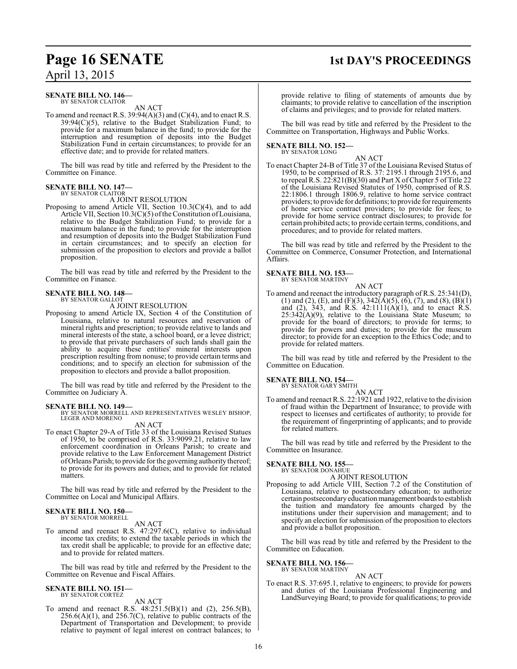### **Page 16 SENATE** 1st DAY'S PROCEEDINGS

### **SENATE BILL NO. 146—** BY SENATOR CLAITOR

AN ACT

To amend and reenact R.S.  $39:94(A)(3)$  and  $(C)(4)$ , and to enact R.S. 39:94(C)(5), relative to the Budget Stabilization Fund; to provide for a maximum balance in the fund; to provide for the interruption and resumption of deposits into the Budget Stabilization Fund in certain circumstances; to provide for an effective date; and to provide for related matters.

The bill was read by title and referred by the President to the Committee on Finance.

### **SENATE BILL NO. 147—** BY SENATOR CLAITOR

A JOINT RESOLUTION

Proposing to amend Article VII, Section 10.3(C)(4), and to add Article VII, Section 10.3(C)(5) of the Constitution of Louisiana, relative to the Budget Stabilization Fund; to provide for a maximum balance in the fund; to provide for the interruption and resumption of deposits into the Budget Stabilization Fund in certain circumstances; and to specify an election for submission of the proposition to electors and provide a ballot proposition.

The bill was read by title and referred by the President to the Committee on Finance.

#### **SENATE BILL NO. 148—** BY SENATOR GALLOT

A JOINT RESOLUTION

Proposing to amend Article IX, Section 4 of the Constitution of Louisiana, relative to natural resources and reservation of mineral rights and prescription; to provide relative to lands and mineral interests of the state, a school board, or a levee district; to provide that private purchasers of such lands shall gain the ability to acquire these entities' mineral interests upon prescription resulting from nonuse; to provide certain terms and conditions; and to specify an election for submission of the proposition to electors and provide a ballot proposition.

The bill was read by title and referred by the President to the Committee on Judiciary A.

**SENATE BILL NO. 149—** BY SENATOR MORRELL AND REPRESENTATIVES WESLEY BISHOP, LEGER AND MORENO

### AN ACT

To enact Chapter 29-A of Title 33 of the Louisiana Revised Statues of 1950, to be comprised of R.S. 33:9099.21, relative to law enforcement coordination in Orleans Parish; to create and provide relative to the Law Enforcement Management District ofOrleans Parish; to provide for the governing authority thereof; to provide for its powers and duties; and to provide for related matters.

The bill was read by title and referred by the President to the Committee on Local and Municipal Affairs.

### **SENATE BILL NO. 150—** BY SENATOR MORRELL

AN ACT

To amend and reenact R.S. 47:297.6(C), relative to individual income tax credits; to extend the taxable periods in which the tax credit shall be applicable; to provide for an effective date; and to provide for related matters.

The bill was read by title and referred by the President to the Committee on Revenue and Fiscal Affairs.

### **SENATE BILL NO. 151—** BY SENATOR CORTEZ

AN ACT

To amend and reenact R.S. 48:251.5(B)(1) and (2), 256.5(B),  $256.6(A)(1)$ , and  $256.7(C)$ , relative to public contracts of the Department of Transportation and Development; to provide relative to payment of legal interest on contract balances; to

provide relative to filing of statements of amounts due by claimants; to provide relative to cancellation of the inscription of claims and privileges; and to provide for related matters.

The bill was read by title and referred by the President to the Committee on Transportation, Highways and Public Works.

### **SENATE BILL NO. 152—** BY SENATOR LONG

AN ACT To enact Chapter 24-B of Title 37 of the Louisiana Revised Status of 1950, to be comprised of R.S. 37: 2195.1 through 2195.6, and to repeal R.S. 22:821(B)(30) and Part X ofChapter 5 of Title 22 of the Louisiana Revised Statutes of 1950, comprised of R.S. 22:1806.1 through 1806.9, relative to home service contract providers; to provide for definitions; to provide for requirements of home service contract providers; to provide for fees; to provide for home service contract disclosures; to provide for certain prohibited acts; to provide certain terms, conditions, and procedures; and to provide for related matters.

The bill was read by title and referred by the President to the Committee on Commerce, Consumer Protection, and International Affairs.

### **SENATE BILL NO. 153—**

BY SENATOR MARTINY AN ACT

To amend and reenact the introductory paragraph of R.S. 25:341(D), (1) and (2), (E), and (F)(3),  $342(\text{\AA})(5)$ , (6), (7), and (8), (B)(1) and (2), 343, and R.S.  $42:1111(A)(1)$ , and to enact R.S.  $25:342(A)(9)$ , relative to the Louisiana State Museum; to provide for the board of directors; to provide for terms; to provide for powers and duties; to provide for the museum director; to provide for an exception to the Ethics Code; and to provide for related matters.

The bill was read by title and referred by the President to the Committee on Education.

**SENATE BILL NO. 154—** BY SENATOR GARY SMITH

AN ACT

To amend and reenact R.S. 22:1921 and 1922, relative to the division of fraud within the Department of Insurance; to provide with respect to licenses and certificates of authority; to provide for the requirement of fingerprinting of applicants; and to provide for related matters.

The bill was read by title and referred by the President to the Committee on Insurance.

# **SENATE BILL NO. 155—** BY SENATOR DONAHUE

A JOINT RESOLUTION

Proposing to add Article VIII, Section 7.2 of the Constitution of Louisiana, relative to postsecondary education; to authorize certain postsecondary education management boards to establish the tuition and mandatory fee amounts charged by the institutions under their supervision and management; and to specify an election for submission of the proposition to electors and provide a ballot proposition.

The bill was read by title and referred by the President to the Committee on Education.

### **SENATE BILL NO. 156—** BY SENATOR MARTINY

AN ACT To enact R.S. 37:695.1, relative to engineers; to provide for powers and duties of the Louisiana Professional Engineering and LandSurveying Board; to provide for qualifications; to provide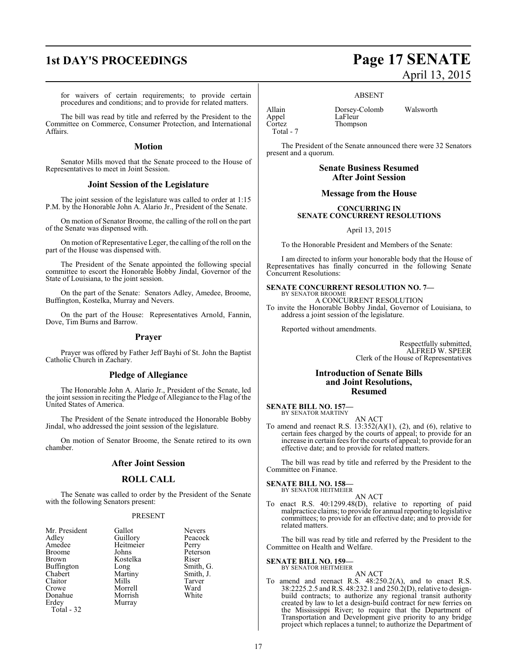for waivers of certain requirements; to provide certain procedures and conditions; and to provide for related matters.

The bill was read by title and referred by the President to the Committee on Commerce, Consumer Protection, and International Affairs.

### **Motion**

Senator Mills moved that the Senate proceed to the House of Representatives to meet in Joint Session.

### **Joint Session of the Legislature**

The joint session of the legislature was called to order at 1:15 P.M. by the Honorable John A. Alario Jr., President of the Senate.

On motion of Senator Broome, the calling of the roll on the part of the Senate was dispensed with.

On motion of Representative Leger, the calling of the roll on the part of the House was dispensed with.

The President of the Senate appointed the following special committee to escort the Honorable Bobby Jindal, Governor of the State of Louisiana, to the joint session.

On the part of the Senate: Senators Adley, Amedee, Broome, Buffington, Kostelka, Murray and Nevers.

On the part of the House: Representatives Arnold, Fannin, Dove, Tim Burns and Barrow.

### **Prayer**

Prayer was offered by Father Jeff Bayhi of St. John the Baptist Catholic Church in Zachary.

### **Pledge of Allegiance**

The Honorable John A. Alario Jr., President of the Senate, led the joint session in reciting the Pledge of Allegiance to the Flag of the United States of America.

The President of the Senate introduced the Honorable Bobby Jindal, who addressed the joint session of the legislature.

On motion of Senator Broome, the Senate retired to its own chamber.

### **After Joint Session**

### **ROLL CALL**

The Senate was called to order by the President of the Senate with the following Senators present:

### PRESENT

| Mr. President     | Gallot                | <b>Nevers</b> |
|-------------------|-----------------------|---------------|
| Adley             | Guillory<br>Heitmeier | Peacock       |
| Amedee            |                       | Perry         |
| <b>Broome</b>     | Johns                 | Peterson      |
| Brown             | Kostelka              | Riser         |
| <b>Buffington</b> | Long                  | Smith, G.     |
| Chabert           | Martiny               | Smith, J.     |
| Claitor           | Mills                 | Tarver        |
| Crowe             | Morrell               | Ward          |
| Donahue           | Morrish               | White         |
| Erdey             | Murray                |               |
| Total - 32        |                       |               |

# **1st DAY'S PROCEEDINGS Page 17 SENATE** April 13, 2015

### ABSENT

Thompson

Allain Dorsey-Colomb Walsworth Appel LaFleur<br>Cortez Thomps Total - 7

The President of the Senate announced there were 32 Senators present and a quorum.

> **Senate Business Resumed After Joint Session**

### **Message from the House**

**CONCURRING IN SENATE CONCURRENT RESOLUTIONS**

April 13, 2015

To the Honorable President and Members of the Senate:

I am directed to inform your honorable body that the House of Representatives has finally concurred in the following Senate Concurrent Resolutions:

### **SENATE CONCURRENT RESOLUTION NO. 7—** BY SENATOR BROOME

A CONCURRENT RESOLUTION

To invite the Honorable Bobby Jindal, Governor of Louisiana, to address a joint session of the legislature.

Reported without amendments.

Respectfully submitted, ALFRED W. SPEER Clerk of the House of Representatives

### **Introduction of Senate Bills and Joint Resolutions, Resumed**

**SENATE BILL NO. 157—** BY SENATOR MARTINY

AN ACT To amend and reenact R.S.  $13:352(A)(1)$ , (2), and (6), relative to certain fees charged by the courts of appeal; to provide for an increase in certain fees for the courts of appeal; to provide for an effective date; and to provide for related matters.

The bill was read by title and referred by the President to the Committee on Finance.

### **SENATE BILL NO. 158—** BY SENATOR HEITMEIER

AN ACT

To enact R.S. 40:1299.48(D), relative to reporting of paid malpractice claims; to provide for annual reporting to legislative committees; to provide for an effective date; and to provide for related matters.

The bill was read by title and referred by the President to the Committee on Health and Welfare.

**SENATE BILL NO. 159—**

### BY SENATOR HEITMEIER

AN ACT To amend and reenact R.S. 48:250.2(A), and to enact R.S. 38:2225.2.5 andR.S. 48:232.1 and 250.2(D), relative to designbuild contracts; to authorize any regional transit authority created by law to let a design-build contract for new ferries on the Mississippi River; to require that the Department of Transportation and Development give priority to any bridge project which replaces a tunnel; to authorize the Department of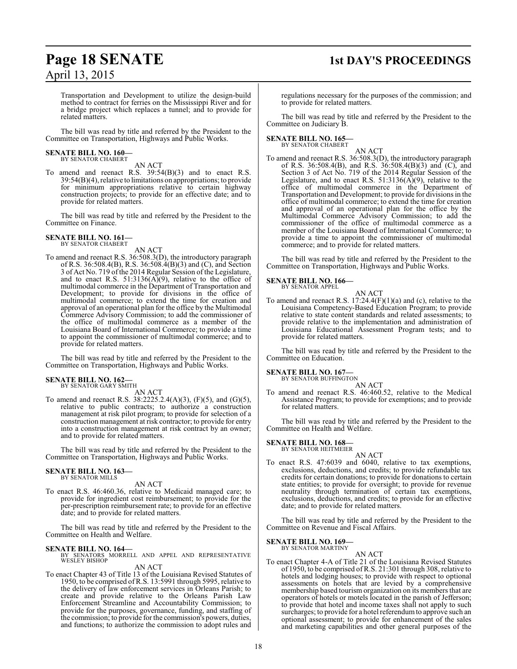# **Page 18 SENATE 1st DAY'S PROCEEDINGS**

Transportation and Development to utilize the design-build method to contract for ferries on the Mississippi River and for a bridge project which replaces a tunnel; and to provide for related matters.

The bill was read by title and referred by the President to the Committee on Transportation, Highways and Public Works.

# **SENATE BILL NO. 160—** BY SENATOR CHABERT

AN ACT

To amend and reenact R.S. 39:54(B)(3) and to enact R.S. 39:54(B)(4), relative to limitations on appropriations; to provide for minimum appropriations relative to certain highway construction projects; to provide for an effective date; and to provide for related matters.

The bill was read by title and referred by the President to the Committee on Finance.

### **SENATE BILL NO. 161—** BY SENATOR CHABERT

### AN ACT

To amend and reenact R.S. 36:508.3(D), the introductory paragraph of R.S. 36:508.4(B), R.S. 36:508.4(B)(3) and (C), and Section 3 of Act No. 719 of the 2014 Regular Session of the Legislature, and to enact R.S. 51:3136( $\widehat{A}$ )(9), relative to the office of multimodal commerce in the Department of Transportation and Development; to provide for divisions in the office of multimodal commerce; to extend the time for creation and approval of an operational plan for the office by the Multimodal Commerce Advisory Commission; to add the commissioner of the office of multimodal commerce as a member of the Louisiana Board of International Commerce; to provide a time to appoint the commissioner of multimodal commerce; and to provide for related matters.

The bill was read by title and referred by the President to the Committee on Transportation, Highways and Public Works.

## **SENATE BILL NO. 162—** BY SENATOR GARY SMITH

AN ACT

To amend and reenact R.S. 38:2225.2.4(A)(3), (F)(5), and (G)(5), relative to public contracts; to authorize a construction management at risk pilot program; to provide for selection of a construction management at risk contractor; to provide for entry into a construction management at risk contract by an owner; and to provide for related matters.

The bill was read by title and referred by the President to the Committee on Transportation, Highways and Public Works.

#### **SENATE BILL NO. 163—** BY SENATOR MILLS

AN ACT

To enact R.S. 46:460.36, relative to Medicaid managed care; to provide for ingredient cost reimbursement; to provide for the per-prescription reimbursement rate; to provide for an effective date; and to provide for related matters.

The bill was read by title and referred by the President to the Committee on Health and Welfare.

**SENATE BILL NO. 164—**<br>BY SENATORS MORRELL AND APPEL AND REPRESENTATIVE<br>WESLEY BISHOP

### AN ACT

To enact Chapter 43 of Title 13 of the Louisiana Revised Statutes of 1950, to be comprised of R.S. 13:5991 through 5995, relative to the delivery of law enforcement services in Orleans Parish; to create and provide relative to the Orleans Parish Law Enforcement Streamline and Accountability Commission; to provide for the purposes, governance, funding, and staffing of the commission; to provide for the commission's powers, duties, and functions; to authorize the commission to adopt rules and

regulations necessary for the purposes of the commission; and to provide for related matters.

The bill was read by title and referred by the President to the Committee on Judiciary B.

### **SENATE BILL NO. 165—** BY SENATOR CHABERT

AN ACT

To amend and reenact R.S. 36:508.3(D), the introductory paragraph of R.S. 36:508.4(B), and R.S. 36:508.4(B)(3) and (C), and Section 3 of Act No. 719 of the 2014 Regular Session of the Legislature, and to enact R.S.  $51:3136(A)(9)$ , relative to the office of multimodal commerce in the Department of Transportation and Development; to provide for divisions in the office of multimodal commerce; to extend the time for creation and approval of an operational plan for the office by the Multimodal Commerce Advisory Commission; to add the commissioner of the office of multimodal commerce as a member of the Louisiana Board of International Commerce; to provide a time to appoint the commissioner of multimodal commerce; and to provide for related matters.

The bill was read by title and referred by the President to the Committee on Transportation, Highways and Public Works.

### **SENATE BILL NO. 166—** BY SENATOR APPEL

AN ACT To amend and reenact R.S.  $17:24.4(F)(1)(a)$  and (c), relative to the Louisiana Competency-Based Education Program; to provide relative to state content standards and related assessments; to provide relative to the implementation and administration of Louisiana Educational Assessment Program tests; and to provide for related matters.

The bill was read by title and referred by the President to the Committee on Education.

### **SENATE BILL NO. 167—**

BY SENATOR BUFFINGTON AN ACT

To amend and reenact R.S. 46:460.52, relative to the Medical Assistance Program; to provide for exemptions; and to provide for related matters.

The bill was read by title and referred by the President to the Committee on Health and Welfare.

### **SENATE BILL NO. 168—** BY SENATOR HEITMEIER

AN ACT To enact R.S. 47:6039 and 6040, relative to tax exemptions, exclusions, deductions, and credits; to provide refundable tax credits for certain donations; to provide for donationsto certain state entities; to provide for oversight; to provide for revenue neutrality through termination of certain tax exemptions, exclusions, deductions, and credits; to provide for an effective date; and to provide for related matters.

The bill was read by title and referred by the President to the Committee on Revenue and Fiscal Affairs.

### **SENATE BILL NO. 169—** BY SENATOR MARTINY

AN ACT

To enact Chapter 4-A of Title 21 of the Louisiana Revised Statutes of 1950, to be comprised of R.S. 21:301 through 308, relative to hotels and lodging houses; to provide with respect to optional assessments on hotels that are levied by a comprehensive membership based tourism organization on its members that are operators of hotels or motels located in the parish of Jefferson; to provide that hotel and income taxes shall not apply to such surcharges; to provide for a hotel referendum to approve such an optional assessment; to provide for enhancement of the sales and marketing capabilities and other general purposes of the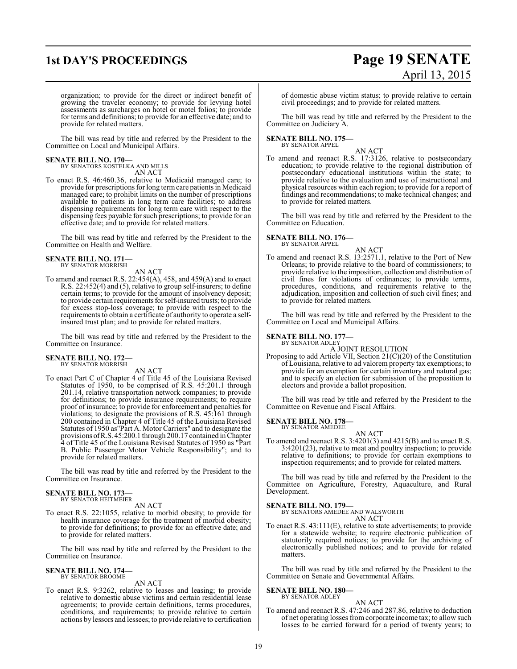# **1st DAY'S PROCEEDINGS Page 19 SENATE** April 13, 2015

organization; to provide for the direct or indirect benefit of growing the traveler economy; to provide for levying hotel assessments as surcharges on hotel or motel folios; to provide for terms and definitions; to provide for an effective date; and to provide for related matters.

The bill was read by title and referred by the President to the Committee on Local and Municipal Affairs.

### **SENATE BILL NO. 170—**

BY SENATORS KOSTELKA AND MILLS AN ACT

To enact R.S. 46:460.36, relative to Medicaid managed care; to provide for prescriptions for long termcare patients in Medicaid managed care; to prohibit limits on the number of prescriptions available to patients in long term care facilities; to address dispensing requirements for long term care with respect to the dispensing fees payable for such prescriptions; to provide for an effective date; and to provide for related matters.

The bill was read by title and referred by the President to the Committee on Health and Welfare.

# **SENATE BILL NO. 171—** BY SENATOR MORRISH

AN ACT

To amend and reenact R.S. 22:454(A), 458, and 459(A) and to enact R.S. 22:452(4) and (5), relative to group self-insurers; to define certain terms; to provide for the amount of insolvency deposit; to provide certain requirements for self-insured trusts; to provide for excess stop-loss coverage; to provide with respect to the requirements to obtain a certificate of authority to operate a selfinsured trust plan; and to provide for related matters.

The bill was read by title and referred by the President to the Committee on Insurance.

### **SENATE BILL NO. 172—** BY SENATOR MORRISH

AN ACT

To enact Part C of Chapter 4 of Title 45 of the Louisiana Revised Statutes of 1950, to be comprised of R.S. 45:201.1 through 201.14, relative transportation network companies; to provide for definitions; to provide insurance requirements; to require proof of insurance; to provide for enforcement and penalties for violations; to designate the provisions of R.S. 45:161 through 200 contained in Chapter 4 of Title 45 of the Louisiana Revised Statutes of 1950 as"Part A. Motor Carriers" and to designate the provisions ofR.S. 45:200.1 through 200.17 contained inChapter 4 of Title 45 of the Louisiana Revised Statutes of 1950 as "Part B. Public Passenger Motor Vehicle Responsibility"; and to provide for related matters.

The bill was read by title and referred by the President to the Committee on Insurance.

### **SENATE BILL NO. 173—** BY SENATOR HEITMEIER

AN ACT

To enact R.S. 22:1055, relative to morbid obesity; to provide for health insurance coverage for the treatment of morbid obesity; to provide for definitions; to provide for an effective date; and to provide for related matters.

The bill was read by title and referred by the President to the Committee on Insurance.

### **SENATE BILL NO. 174—** BY SENATOR BROOME

AN ACT

To enact R.S. 9:3262, relative to leases and leasing; to provide relative to domestic abuse victims and certain residential lease agreements; to provide certain definitions, terms procedures, conditions, and requirements; to provide relative to certain actions by lessors and lessees; to provide relative to certification

of domestic abuse victim status; to provide relative to certain civil proceedings; and to provide for related matters.

The bill was read by title and referred by the President to the Committee on Judiciary A.

**SENATE BILL NO. 175—** BY SENATOR APPEL

AN ACT

To amend and reenact R.S. 17:3126, relative to postsecondary education; to provide relative to the regional distribution of postsecondary educational institutions within the state; to provide relative to the evaluation and use of instructional and physical resources within each region; to provide for a report of findings and recommendations; to make technical changes; and to provide for related matters.

The bill was read by title and referred by the President to the Committee on Education.

**SENATE BILL NO. 176—** BY SENATOR APPEL

AN ACT

To amend and reenact R.S. 13:2571.1, relative to the Port of New Orleans; to provide relative to the board of commissioners; to provide relative to the imposition, collection and distribution of civil fines for violations of ordinances; to provide terms, procedures, conditions, and requirements relative to the adjudication, imposition and collection of such civil fines; and to provide for related matters.

The bill was read by title and referred by the President to the Committee on Local and Municipal Affairs.

### **SENATE BILL NO. 177—**

BY SENATOR ADLEY

A JOINT RESOLUTION Proposing to add Article VII, Section 21(C)(20) of the Constitution of Louisiana, relative to ad valorem property tax exemptions; to provide for an exemption for certain inventory and natural gas; and to specify an election for submission of the proposition to electors and provide a ballot proposition.

The bill was read by title and referred by the President to the Committee on Revenue and Fiscal Affairs.

**SENATE BILL NO. 178—** BY SENATOR AMEDEE

AN ACT

To amend and reenact R.S. 3:4201(3) and 4215(B) and to enact R.S. 3:4201(23), relative to meat and poultry inspection; to provide relative to definitions; to provide for certain exemptions to inspection requirements; and to provide for related matters.

The bill was read by title and referred by the President to the Committee on Agriculture, Forestry, Aquaculture, and Rural Development.

**SENATE BILL NO. 179—**

BY SENATORS AMEDEE AND WALSWORTH AN ACT

To enact R.S. 43:111(E), relative to state advertisements; to provide for a statewide website; to require electronic publication of statutorily required notices; to provide for the archiving of electronically published notices; and to provide for related matters.

The bill was read by title and referred by the President to the Committee on Senate and Governmental Affairs.

#### **SENATE BILL NO. 180—** BY SENATOR ADLEY

AN ACT

To amend and reenact R.S. 47:246 and 287.86, relative to deduction of net operating losses from corporate income tax; to allow such losses to be carried forward for a period of twenty years; to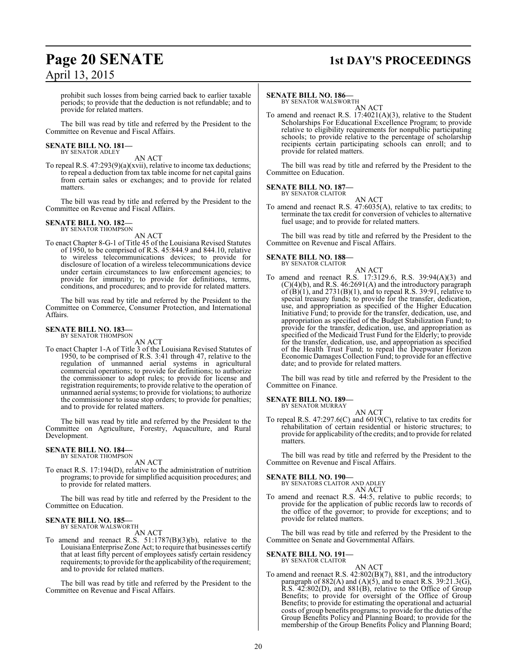### **Page 20 SENATE 1st DAY'S PROCEEDINGS**

prohibit such losses from being carried back to earlier taxable periods; to provide that the deduction is not refundable; and to provide for related matters.

The bill was read by title and referred by the President to the Committee on Revenue and Fiscal Affairs.

### **SENATE BILL NO. 181—** BY SENATOR ADLEY

AN ACT

To repeal R.S. 47:293(9)(a)(xvii), relative to income tax deductions; to repeal a deduction from tax table income for net capital gains from certain sales or exchanges; and to provide for related matters.

The bill was read by title and referred by the President to the Committee on Revenue and Fiscal Affairs.

#### **SENATE BILL NO. 182—** BY SENATOR THOMPSON

AN ACT

To enact Chapter 8-G-1 of Title 45 of the Louisiana Revised Statutes of 1950, to be comprised of R.S. 45:844.9 and 844.10, relative to wireless telecommunications devices; to provide for disclosure of location of a wireless telecommunications device under certain circumstances to law enforcement agencies; to provide for immunity; to provide for definitions, terms, conditions, and procedures; and to provide for related matters.

The bill was read by title and referred by the President to the Committee on Commerce, Consumer Protection, and International Affairs.

#### **SENATE BILL NO. 183—** BY SENATOR THOMPSON

AN ACT

To enact Chapter 1-A of Title 3 of the Louisiana Revised Statutes of 1950, to be comprised of R.S. 3:41 through 47, relative to the regulation of unmanned aerial systems in agricultural commercial operations; to provide for definitions; to authorize the commissioner to adopt rules; to provide for license and registration requirements; to provide relative to the operation of unmanned aerial systems; to provide for violations; to authorize the commissioner to issue stop orders; to provide for penalties; and to provide for related matters.

The bill was read by title and referred by the President to the Committee on Agriculture, Forestry, Aquaculture, and Rural Development.

### **SENATE BILL NO. 184—** BY SENATOR THOMPSON

AN ACT

To enact R.S. 17:194(D), relative to the administration of nutrition programs; to provide for simplified acquisition procedures; and to provide for related matters.

The bill was read by title and referred by the President to the Committee on Education.

### **SENATE BILL NO. 185—** BY SENATOR WALSWORTH

AN ACT

To amend and reenact R.S.  $51:1787(B)(3)(b)$ , relative to the LouisianaEnterprise Zone Act; to require that businesses certify that at least fifty percent of employees satisfy certain residency requirements; to provide for the applicability ofthe requirement; and to provide for related matters.

The bill was read by title and referred by the President to the Committee on Revenue and Fiscal Affairs.

### **SENATE BILL NO. 186—**

BY SENATOR WALSWORTH AN ACT

To amend and reenact R.S. 17:4021(A)(3), relative to the Student Scholarships For Educational Excellence Program; to provide relative to eligibility requirements for nonpublic participating schools; to provide relative to the percentage of scholarship recipients certain participating schools can enroll; and to provide for related matters.

The bill was read by title and referred by the President to the Committee on Education.

#### **SENATE BILL NO. 187—** BY SENATOR CLAITOR

$$
\mathop{\rm AN} \mathop{\rm ACT}
$$

To amend and reenact R.S. 47:6035(A), relative to tax credits; to terminate the tax credit for conversion of vehicles to alternative fuel usage; and to provide for related matters.

The bill was read by title and referred by the President to the Committee on Revenue and Fiscal Affairs.

### **SENATE BILL NO. 188—** BY SENATOR CLAITOR

- AN ACT
- To amend and reenact R.S. 17:3129.6, R.S. 39:94(A)(3) and (C)(4)(b), and R.S. 46:2691(A) and the introductory paragraph of  $(B)(1)$ , and  $2731(B)(1)$ , and to repeal R.S. 39:91, relative to special treasury funds; to provide for the transfer, dedication, use, and appropriation as specified of the Higher Education Initiative Fund; to provide for the transfer, dedication, use, and appropriation as specified of the Budget Stabilization Fund; to provide for the transfer, dedication, use, and appropriation as specified of the Medicaid Trust Fund for the Elderly; to provide for the transfer, dedication, use, and appropriation as specified of the Health Trust Fund; to repeal the Deepwater Horizon Economic Damages Collection Fund; to provide for an effective date; and to provide for related matters.

The bill was read by title and referred by the President to the Committee on Finance.

### **SENATE BILL NO. 189—** BY SENATOR MURRAY

AN ACT

To repeal R.S. 47:297.6(C) and 6019(C), relative to tax credits for rehabilitation of certain residential or historic structures; to provide for applicability of the credits; and to provide for related matters.

The bill was read by title and referred by the President to the Committee on Revenue and Fiscal Affairs.

### **SENATE BILL NO. 190—**

BY SENATORS CLAITOR AND ADLEY

$$
\frac{\text{AN ACT}}{44.5}
$$

To amend and reenact R.S. 44:5, relative to public records; to provide for the application of public records law to records of the office of the governor; to provide for exceptions; and to provide for related matters.

The bill was read by title and referred by the President to the Committee on Senate and Governmental Affairs.

#### **SENATE BILL NO. 191—** BY SENATOR CLAITOR

AN ACT

To amend and reenact R.S. 42:802(B)(7), 881, and the introductory paragraph of  $882(A)$  and  $(A)(5)$ , and to enact R.S. 39:21.3(G), R.S. 42:802(D), and 881(B), relative to the Office of Group Benefits; to provide for oversight of the Office of Group Benefits; to provide for estimating the operational and actuarial costs of group benefits programs; to provide for the duties of the Group Benefits Policy and Planning Board; to provide for the membership of the Group Benefits Policy and Planning Board;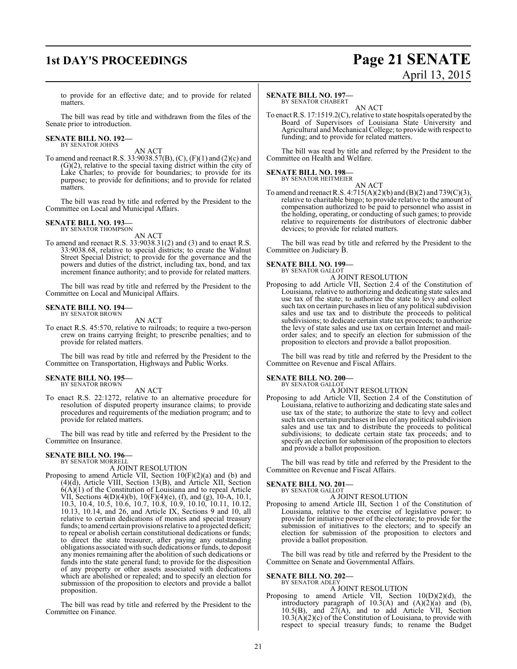### **1st DAY'S PROCEEDINGS Page 21 SENATE**

# April 13, 2015

to provide for an effective date; and to provide for related matters.

The bill was read by title and withdrawn from the files of the Senate prior to introduction.

# **SENATE BILL NO. 192—** BY SENATOR JOHNS

AN ACT

To amend and reenact R.S. 33:9038.57(B), (C), (F)(1) and (2)(c) and (G)(2), relative to the special taxing district within the city of Lake Charles; to provide for boundaries; to provide for its purpose; to provide for definitions; and to provide for related matters.

The bill was read by title and referred by the President to the Committee on Local and Municipal Affairs.

#### **SENATE BILL NO. 193—** BY SENATOR THOMPSON

AN ACT

To amend and reenact R.S. 33:9038.31(2) and (3) and to enact R.S. 33:9038.68, relative to special districts; to create the Walnut Street Special District; to provide for the governance and the powers and duties of the district, including tax, bond, and tax increment finance authority; and to provide for related matters.

The bill was read by title and referred by the President to the Committee on Local and Municipal Affairs.

#### **SENATE BILL NO. 194—** BY SENATOR BROWN

AN ACT

To enact R.S. 45:570, relative to railroads; to require a two-person crew on trains carrying freight; to prescribe penalties; and to provide for related matters.

The bill was read by title and referred by the President to the Committee on Transportation, Highways and Public Works.

#### **SENATE BILL NO. 195—** BY SENATOR BROWN

AN ACT

To enact R.S. 22:1272, relative to an alternative procedure for resolution of disputed property insurance claims; to provide procedures and requirements of the mediation program; and to provide for related matters.

The bill was read by title and referred by the President to the Committee on Insurance.

#### **SENATE BILL NO. 196—** BY SENATOR MORRELL

A JOINT RESOLUTION

Proposing to amend Article VII, Section 10(F)(2)(a) and (b) and (4)(d), Article VIII, Section 13(B), and Article XII, Section  $6(A)(1)$  of the Constitution of Louisiana and to repeal Article VII, Sections 4(D)(4)(b), 10(F)(4)(e), (f), and (g), 10-A, 10.1, 10.3, 10.4, 10.5, 10.6, 10.7, 10.8, 10.9, 10.10, 10.11, 10.12, 10.13, 10.14, and 26, and Article IX, Sections 9 and 10, all relative to certain dedications of monies and special treasury funds; to amend certain provisions relative to a projected deficit; to repeal or abolish certain constitutional dedications or funds; to direct the state treasurer, after paying any outstanding obligations associated with such dedications or funds, to deposit any monies remaining after the abolition of such dedications or funds into the state general fund; to provide for the disposition of any property or other assets associated with dedications which are abolished or repealed; and to specify an election for submission of the proposition to electors and provide a ballot proposition.

The bill was read by title and referred by the President to the Committee on Finance.

### **SENATE BILL NO. 197—**

BY SENATOR CHABERT AN ACT

To enact R.S. 17:1519.2(C), relative to state hospitals operated by the Board of Supervisors of Louisiana State University and Agricultural and Mechanical College; to provide with respect to funding; and to provide for related matters.

The bill was read by title and referred by the President to the Committee on Health and Welfare.

#### **SENATE BILL NO. 198—** BY SENATOR HEITMEIER

AN ACT To amend and reenact R.S.  $4:715(A)(2)(b)$  and  $(B)(2)$  and  $739(C)(3)$ , relative to charitable bingo; to provide relative to the amount of compensation authorized to be paid to personnel who assist in the holding, operating, or conducting of such games; to provide relative to requirements for distributors of electronic dabber devices; to provide for related matters.

The bill was read by title and referred by the President to the Committee on Judiciary B.

### **SENATE BILL NO. 199—** BY SENATOR GALLOT

A JOINT RESOLUTION

Proposing to add Article VII, Section 2.4 of the Constitution of Louisiana, relative to authorizing and dedicating state sales and use tax of the state; to authorize the state to levy and collect such tax on certain purchases in lieu of any political subdivision sales and use tax and to distribute the proceeds to political subdivisions; to dedicate certain state tax proceeds; to authorize the levy of state sales and use tax on certain Internet and mailorder sales; and to specify an election for submission of the proposition to electors and provide a ballot proposition.

The bill was read by title and referred by the President to the Committee on Revenue and Fiscal Affairs.

### **SENATE BILL NO. 200—**

BY SENATOR GALLOT A JOINT RESOLUTION

Proposing to add Article VII, Section 2.4 of the Constitution of Louisiana, relative to authorizing and dedicating state sales and use tax of the state; to authorize the state to levy and collect such tax on certain purchases in lieu of any political subdivision sales and use tax and to distribute the proceeds to political subdivisions; to dedicate certain state tax proceeds; and to specify an election for submission of the proposition to electors and provide a ballot proposition.

The bill was read by title and referred by the President to the Committee on Revenue and Fiscal Affairs.

### **SENATE BILL NO. 201—** BY SENATOR GALLOT

A JOINT RESOLUTION

Proposing to amend Article III, Section 1 of the Constitution of Louisiana, relative to the exercise of legislative power; to provide for initiative power of the electorate; to provide for the submission of initiatives to the electors; and to specify an election for submission of the proposition to electors and provide a ballot proposition.

The bill was read by title and referred by the President to the Committee on Senate and Governmental Affairs.

## **SENATE BILL NO. 202—** BY SENATOR ADLEY

### A JOINT RESOLUTION

Proposing to amend Article VII, Section 10(D)(2)(d), the introductory paragraph of  $10.3(A)$  and  $(A)(2)(a)$  and  $(b)$ ,  $10.5(B)$ , and  $27(A)$ , and to add Article VII, Section  $10.3(A)(2)(c)$  of the Constitution of Louisiana, to provide with respect to special treasury funds; to rename the Budget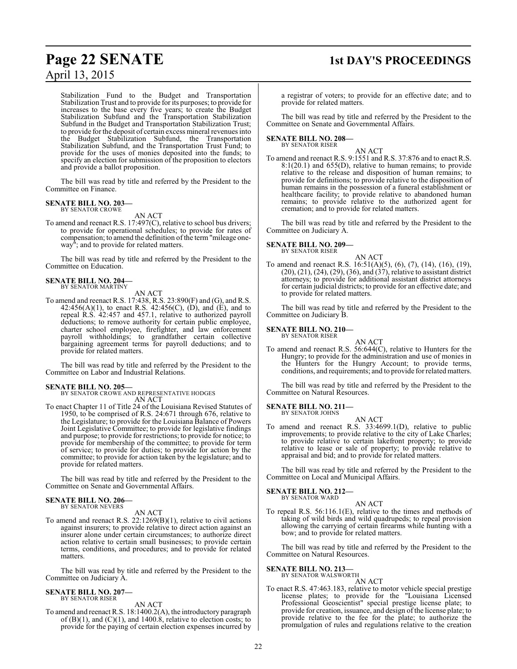Stabilization Fund to the Budget and Transportation Stabilization Trust and to provide for its purposes; to provide for increases to the base every five years; to create the Budget Stabilization Subfund and the Transportation Stabilization Subfund in the Budget and Transportation Stabilization Trust; to provide for the deposit of certain excess mineral revenues into the Budget Stabilization Subfund, the Transportation Stabilization Subfund, and the Transportation Trust Fund; to provide for the uses of monies deposited into the funds; to specify an election for submission of the proposition to electors and provide a ballot proposition.

The bill was read by title and referred by the President to the Committee on Finance.

### **SENATE BILL NO. 203—** BY SENATOR CROWE

AN ACT

To amend and reenact R.S. 17:497(C), relative to school bus drivers; to provide for operational schedules; to provide for rates of compensation; to amend the definition of the term "mileage oneway<sup>"</sup>; and to provide for related matters.

The bill was read by title and referred by the President to the Committee on Education.

### **SENATE BILL NO. 204—** BY SENATOR MARTINY

AN ACT

To amend and reenact R.S. 17:438, R.S. 23:890(F) and (G), and R.S. 42:456(A)(1), to enact R.S. 42:456(C), (D), and (E), and to repeal R.S. 42:457 and 457.1, relative to authorized payroll deductions; to remove authority for certain public employee, charter school employee, firefighter, and law enforcement payroll withholdings; to grandfather certain collective bargaining agreement terms for payroll deductions; and to provide for related matters.

The bill was read by title and referred by the President to the Committee on Labor and Industrial Relations.

**SENATE BILL NO. 205—** BY SENATOR CROWE AND REPRESENTATIVE HODGES AN ACT

To enact Chapter 11 of Title 24 of the Louisiana Revised Statutes of 1950, to be comprised of R.S. 24:671 through 676, relative to the Legislature; to provide for the Louisiana Balance of Powers Joint Legislative Committee; to provide for legislative findings and purpose; to provide for restrictions; to provide for notice; to provide for membership of the committee; to provide for term of service; to provide for duties; to provide for action by the committee; to provide for action taken by the legislature; and to provide for related matters.

The bill was read by title and referred by the President to the Committee on Senate and Governmental Affairs.

#### **SENATE BILL NO. 206—** BY SENATOR NEVERS

AN ACT

To amend and reenact R.S. 22:1269(B)(1), relative to civil actions against insurers; to provide relative to direct action against an insurer alone under certain circumstances; to authorize direct action relative to certain small businesses; to provide certain terms, conditions, and procedures; and to provide for related matters.

The bill was read by title and referred by the President to the Committee on Judiciary A.

#### **SENATE BILL NO. 207—** BY SENATOR RISER

AN ACT

To amend and reenact R.S. 18:1400.2(A), the introductory paragraph of  $(B)(1)$ , and  $(C)(1)$ , and 1400.8, relative to election costs; to provide for the paying of certain election expenses incurred by

# **Page 22 SENATE 1st DAY'S PROCEEDINGS**

a registrar of voters; to provide for an effective date; and to provide for related matters.

The bill was read by title and referred by the President to the Committee on Senate and Governmental Affairs.

### **SENATE BILL NO. 208—** BY SENATOR RISER

AN ACT

To amend and reenact R.S. 9:1551 and R.S. 37:876 and to enact R.S. 8:1(20.1) and 655(D), relative to human remains; to provide relative to the release and disposition of human remains; to provide for definitions; to provide relative to the disposition of human remains in the possession of a funeral establishment or healthcare facility; to provide relative to abandoned human remains; to provide relative to the authorized agent for cremation; and to provide for related matters.

The bill was read by title and referred by the President to the Committee on Judiciary A.

#### **SENATE BILL NO. 209—** BY SENATOR RISER

AN ACT

To amend and reenact R.S. 16:51(A)(5), (6), (7), (14), (16), (19),  $(20), (21), (24), (29), (36),$  and  $(37),$  relative to assistant district attorneys; to provide for additional assistant district attorneys for certain judicial districts; to provide for an effective date; and to provide for related matters.

The bill was read by title and referred by the President to the Committee on Judiciary B.

#### **SENATE BILL NO. 210—** BY SENATOR RISER

AN ACT To amend and reenact R.S. 56:644(C), relative to Hunters for the Hungry; to provide for the administration and use of monies in the Hunters for the Hungry Account; to provide terms, conditions, and requirements; and to provide for related matters.

The bill was read by title and referred by the President to the Committee on Natural Resources.

## **SENATE BILL NO. 211—**<br>BY SENATOR JOHNS

AN ACT

To amend and reenact R.S. 33:4699.1(D), relative to public improvements; to provide relative to the city of Lake Charles; to provide relative to certain lakefront property; to provide relative to lease or sale of property; to provide relative to appraisal and bid; and to provide for related matters.

The bill was read by title and referred by the President to the Committee on Local and Municipal Affairs.

**SENATE BILL NO. 212—** BY SENATOR WARD

### AN ACT

To repeal R.S. 56:116.1(E), relative to the times and methods of taking of wild birds and wild quadrupeds; to repeal provision allowing the carrying of certain firearms while hunting with a bow; and to provide for related matters.

The bill was read by title and referred by the President to the Committee on Natural Resources.

### **SENATE BILL NO. 213—**

BY SENATOR WALSWORTH AN ACT

To enact R.S. 47:463.183, relative to motor vehicle special prestige license plates; to provide for the "Louisiana Licensed Professional Geoscientist" special prestige license plate; to provide for creation, issuance, and design of the license plate; to provide relative to the fee for the plate; to authorize the promulgation of rules and regulations relative to the creation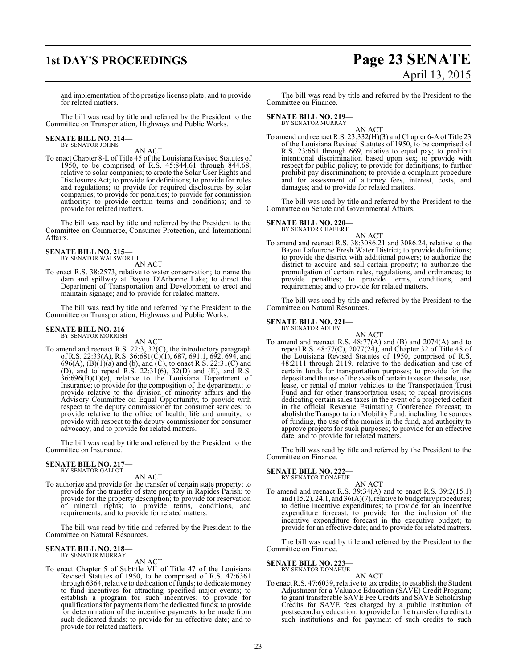# **1st DAY'S PROCEEDINGS Page 23 SENATE** April 13, 2015

and implementation of the prestige license plate; and to provide for related matters.

The bill was read by title and referred by the President to the Committee on Transportation, Highways and Public Works.

### **SENATE BILL NO. 214—** BY SENATOR JOHNS

AN ACT

To enact Chapter 8-L of Title 45 of the Louisiana Revised Statutes of 1950, to be comprised of R.S. 45:844.61 through 844.68, relative to solar companies; to create the Solar User Rights and Disclosures Act; to provide for definitions; to provide for rules and regulations; to provide for required disclosures by solar companies; to provide for penalties; to provide for commission authority; to provide certain terms and conditions; and to provide for related matters.

The bill was read by title and referred by the President to the Committee on Commerce, Consumer Protection, and International Affairs.

### **SENATE BILL NO. 215—** BY SENATOR WALSWORTH

AN ACT

To enact R.S. 38:2573, relative to water conservation; to name the dam and spillway at Bayou D'Arbonne Lake; to direct the Department of Transportation and Development to erect and maintain signage; and to provide for related matters.

The bill was read by title and referred by the President to the Committee on Transportation, Highways and Public Works.

#### **SENATE BILL NO. 216—** BY SENATOR MORRISH

AN ACT

To amend and reenact R.S. 22:3, 32(C), the introductory paragraph of R.S. 22:33(A), R.S. 36:681(C)(1), 687, 691.1, 692, 694, and 696(A),  $(B)(1)(a)$  and  $(b)$ , and  $(C)$ , to enact R.S. 22:31(C) and (D), and to repeal R.S. 22:31(6), 32(D) and (E), and R.S.  $36:696(B)(1)(e)$ , relative to the Louisiana Department of Insurance; to provide for the composition of the department; to provide relative to the division of minority affairs and the Advisory Committee on Equal Opportunity; to provide with respect to the deputy commissioner for consumer services; to provide relative to the office of health, life and annuity; to provide with respect to the deputy commissioner for consumer advocacy; and to provide for related matters.

The bill was read by title and referred by the President to the Committee on Insurance.

# **SENATE BILL NO. 217—** BY SENATOR GALLOT

AN ACT

To authorize and provide for the transfer of certain state property; to provide for the transfer of state property in Rapides Parish; to provide for the property description; to provide for reservation of mineral rights; to provide terms, conditions, and requirements; and to provide for related matters.

The bill was read by title and referred by the President to the Committee on Natural Resources.

### **SENATE BILL NO. 218—** BY SENATOR MURRAY

AN ACT

To enact Chapter 5 of Subtitle VII of Title 47 of the Louisiana Revised Statutes of 1950, to be comprised of R.S. 47:6361 through 6364, relative to dedication of funds; to dedicate money to fund incentives for attracting specified major events; to establish a program for such incentives; to provide for qualifications for payments fromthe dedicated funds; to provide for determination of the incentive payments to be made from such dedicated funds; to provide for an effective date; and to provide for related matters.

The bill was read by title and referred by the President to the Committee on Finance.

### **SENATE BILL NO. 219—**

BY SENATOR MURRAY

AN ACT To amend and reenact R.S. 23:332(H)(3) and Chapter 6-A of Title 23 of the Louisiana Revised Statutes of 1950, to be comprised of R.S. 23:661 through 669, relative to equal pay; to prohibit intentional discrimination based upon sex; to provide with respect for public policy; to provide for definitions; to further prohibit pay discrimination; to provide a complaint procedure and for assessment of attorney fees, interest, costs, and damages; and to provide for related matters.

The bill was read by title and referred by the President to the Committee on Senate and Governmental Affairs.

### **SENATE BILL NO. 220—**

BY SENATOR CHABERT

AN ACT

To amend and reenact R.S. 38:3086.21 and 3086.24, relative to the Bayou Lafourche Fresh Water District; to provide definitions; to provide the district with additional powers; to authorize the district to acquire and sell certain property; to authorize the promulgation of certain rules, regulations, and ordinances; to provide penalties; to provide terms, conditions, and requirements; and to provide for related matters.

The bill was read by title and referred by the President to the Committee on Natural Resources.

### **SENATE BILL NO. 221—**

BY SENATOR ADLEY

AN ACT To amend and reenact R.S. 48:77(A) and (B) and 2074(A) and to repeal R.S. 48:77(C), 2077(24), and Chapter 32 of Title 48 of the Louisiana Revised Statutes of 1950, comprised of R.S. 48:2111 through 2119, relative to the dedication and use of certain funds for transportation purposes; to provide for the deposit and the use of the avails of certain taxes on the sale, use, lease, or rental of motor vehicles to the Transportation Trust Fund and for other transportation uses; to repeal provisions dedicating certain sales taxes in the event of a projected deficit in the official Revenue Estimating Conference forecast; to abolish the Transportation Mobility Fund, including the sources of funding, the use of the monies in the fund, and authority to approve projects for such purposes; to provide for an effective date; and to provide for related matters.

The bill was read by title and referred by the President to the Committee on Finance.

# **SENATE BILL NO. 222—** BY SENATOR DONAHUE

AN ACT

To amend and reenact R.S. 39:34(A) and to enact R.S. 39:2(15.1) and  $(15.2)$ , 24.1, and  $36(A)(7)$ , relative to budgetary procedures; to define incentive expenditures; to provide for an incentive expenditure forecast; to provide for the inclusion of the incentive expenditure forecast in the executive budget; to provide for an effective date; and to provide for related matters.

The bill was read by title and referred by the President to the Committee on Finance.

# **SENATE BILL NO. 223—** BY SENATOR DONAHUE

### AN ACT

To enact R.S. 47:6039, relative to tax credits; to establish the Student Adjustment for a Valuable Education (SAVE) Credit Program; to grant transferable SAVE Fee Credits and SAVE Scholarship Credits for SAVE fees charged by a public institution of postsecondary education; to provide for the transfer of credits to such institutions and for payment of such credits to such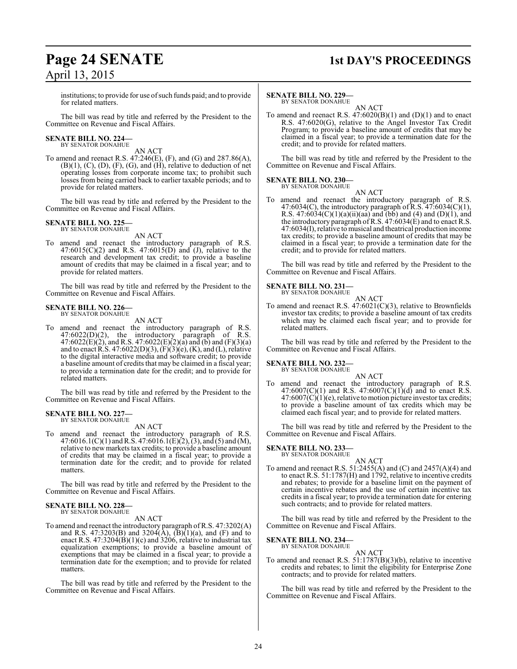### **Page 24 SENATE 1st DAY'S PROCEEDINGS** April 13, 2015

institutions; to provide for use of such funds paid; and to provide for related matters.

The bill was read by title and referred by the President to the Committee on Revenue and Fiscal Affairs.

### **SENATE BILL NO. 224—** BY SENATOR DONAHUE

AN ACT

To amend and reenact R.S. 47:246(E), (F), and (G) and 287.86(A),  $(B)(1), (C), (D), (F), (G),$  and  $(H),$  relative to deduction of net operating losses from corporate income tax; to prohibit such losses from being carried back to earlier taxable periods; and to provide for related matters.

The bill was read by title and referred by the President to the Committee on Revenue and Fiscal Affairs.

#### **SENATE BILL NO. 225** BY SENATOR DONAHUE

AN ACT

To amend and reenact the introductory paragraph of R.S. 47:6015(C)(2) and R.S. 47:6015(D) and (J), relative to the research and development tax credit; to provide a baseline amount of credits that may be claimed in a fiscal year; and to provide for related matters.

The bill was read by title and referred by the President to the Committee on Revenue and Fiscal Affairs.

#### **SENATE BILL NO. 226—** BY SENATOR DONAHUE

AN ACT

To amend and reenact the introductory paragraph of R.S.  $47:6022(D)(2)$ , the introductory paragraph of R.S. 47:6022(E)(2), and R.S. 47:6022(E)(2)(a) and (b) and (F)(3)(a) and to enact R.S. 47:6022(D)(3), (F)(3)(e), (K), and (L), relative to the digital interactive media and software credit; to provide a baseline amount of credits that may be claimed in a fiscal year; to provide a termination date for the credit; and to provide for related matters.

The bill was read by title and referred by the President to the Committee on Revenue and Fiscal Affairs.

### **SENATE BILL NO. 227—** BY SENATOR DONAHUE

AN ACT

To amend and reenact the introductory paragraph of R.S.  $47:6016.1(C)(1)$  and R.S.  $47:6016.1(E)(2)$ ,  $(3)$ , and  $(5)$  and  $(M)$ , relative to newmarkets tax credits; to provide a baseline amount of credits that may be claimed in a fiscal year; to provide a termination date for the credit; and to provide for related matters.

The bill was read by title and referred by the President to the Committee on Revenue and Fiscal Affairs.

### **SENATE BILL NO. 228—** BY SENATOR DONAHUE

AN ACT

To amend and reenact the introductory paragraph ofR.S. 47:3202(A) and R.S. 47:3203(B) and 3204(A),  $\overline{B}(1)(a)$ , and  $\overline{F}$  and to enact R.S.  $47:3204(B)(1)(c)$  and  $3206$ , relative to industrial tax equalization exemptions; to provide a baseline amount of exemptions that may be claimed in a fiscal year; to provide a termination date for the exemption; and to provide for related matters.

The bill was read by title and referred by the President to the Committee on Revenue and Fiscal Affairs.

### **SENATE BILL NO. 229—**

BY SENATOR DONAHUE AN ACT

To amend and reenact R.S.  $47:6020(B)(1)$  and  $(D)(1)$  and to enact R.S. 47:6020(G), relative to the Angel Investor Tax Credit Program; to provide a baseline amount of credits that may be claimed in a fiscal year; to provide a termination date for the credit; and to provide for related matters.

The bill was read by title and referred by the President to the Committee on Revenue and Fiscal Affairs.

### **SENATE BILL NO. 230—** BY SENATOR DONAHUE

AN ACT

To amend and reenact the introductory paragraph of R.S. 47:6034(C), the introductory paragraph of R.S.  $47:6034(C)(1)$ , R.S.  $47:6034(C)(1)(a)(ii)(aa)$  and (bb) and (4) and (D)(1), and the introductory paragraph of R.S.  $47:6034(E)$  and to enact R.S. 47:6034(I), relative to musical and theatrical production income tax credits; to provide a baseline amount of credits that may be claimed in a fiscal year; to provide a termination date for the credit; and to provide for related matters.

The bill was read by title and referred by the President to the Committee on Revenue and Fiscal Affairs.

### **SENATE BILL NO. 231—** BY SENATOR DONAHUE

AN ACT

To amend and reenact R.S. 47:6021(C)(3), relative to Brownfields investor tax credits; to provide a baseline amount of tax credits which may be claimed each fiscal year; and to provide for related matters.

The bill was read by title and referred by the President to the Committee on Revenue and Fiscal Affairs.

### **SENATE BILL NO. 232—**

BY SENATOR DONAHUE

AN ACT To amend and reenact the introductory paragraph of R.S.  $47:6007(C)(1)$  and R.S.  $47:6007(C)(1)(d)$  and to enact R.S.  $47:6007(\text{C})(1)(e)$ , relative to motion picture investor tax credits; to provide a baseline amount of tax credits which may be claimed each fiscal year; and to provide for related matters.

The bill was read by title and referred by the President to the Committee on Revenue and Fiscal Affairs.

### **SENATE BILL NO. 233—**

BY SENATOR DONAHUE

AN ACT To amend and reenact R.S. 51:2455(A) and (C) and 2457(A)(4) and to enact R.S. 51:1787(H) and 1792, relative to incentive credits and rebates; to provide for a baseline limit on the payment of certain incentive rebates and the use of certain incentive tax credits in a fiscal year; to provide a termination date for entering such contracts; and to provide for related matters.

The bill was read by title and referred by the President to the Committee on Revenue and Fiscal Affairs.

### **SENATE BILL NO. 234—**

BY SENATOR DONAHUE AN ACT

To amend and reenact R.S. 51:1787(B)(3)(b), relative to incentive credits and rebates; to limit the eligibility for Enterprise Zone contracts; and to provide for related matters.

The bill was read by title and referred by the President to the Committee on Revenue and Fiscal Affairs.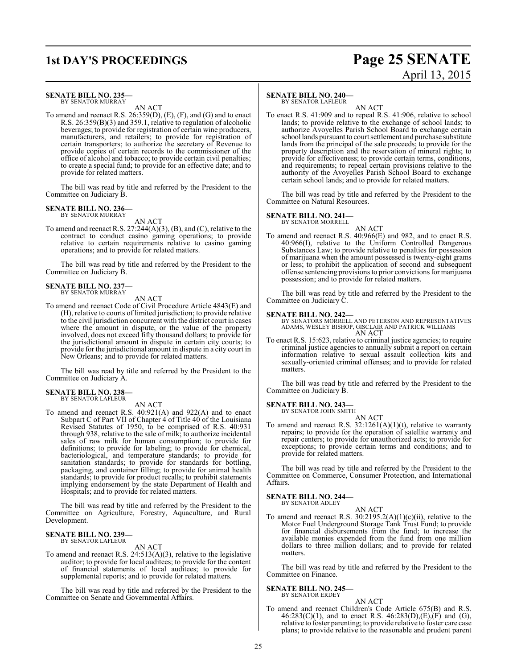### **1st DAY'S PROCEEDINGS Page 25 SENATE** April 13, 2015

### **SENATE BILL NO. 235—**

BY SENATOR MURRAY AN ACT

To amend and reenact R.S. 26:359(D), (E), (F), and (G) and to enact R.S. 26:359(B)(3) and 359.1, relative to regulation of alcoholic beverages; to provide for registration of certain wine producers, manufacturers, and retailers; to provide for registration of certain transporters; to authorize the secretary of Revenue to provide copies of certain records to the commissioner of the office of alcohol and tobacco; to provide certain civil penalties; to create a special fund; to provide for an effective date; and to provide for related matters.

The bill was read by title and referred by the President to the Committee on Judiciary B.

### **SENATE BILL NO. 236—**

BY SENATOR MURRAY AN ACT

To amend and reenact R.S. 27:244(A)(3), (B), and (C), relative to the contract to conduct casino gaming operations; to provide relative to certain requirements relative to casino gaming operations; and to provide for related matters.

The bill was read by title and referred by the President to the Committee on Judiciary B.

### **SENATE BILL NO. 237—** BY SENATOR MURRAY

AN ACT

To amend and reenact Code of Civil Procedure Article 4843(E) and (H), relative to courts of limited jurisdiction; to provide relative to the civil jurisdiction concurrent with the district court in cases where the amount in dispute, or the value of the property involved, does not exceed fifty thousand dollars; to provide for the jurisdictional amount in dispute in certain city courts; to provide for the jurisdictional amount in dispute in a city court in New Orleans; and to provide for related matters.

The bill was read by title and referred by the President to the Committee on Judiciary A.

### **SENATE BILL NO. 238—** BY SENATOR LAFLEUR

AN ACT

To amend and reenact R.S. 40:921(A) and 922(A) and to enact Subpart C of Part VII of Chapter 4 of Title 40 of the Louisiana Revised Statutes of 1950, to be comprised of R.S. 40:931 through 938, relative to the sale of milk; to authorize incidental sales of raw milk for human consumption; to provide for definitions; to provide for labeling; to provide for chemical, bacteriological, and temperature standards; to provide for sanitation standards; to provide for standards for bottling, packaging, and container filling; to provide for animal health standards; to provide for product recalls; to prohibit statements implying endorsement by the state Department of Health and Hospitals; and to provide for related matters.

The bill was read by title and referred by the President to the Committee on Agriculture, Forestry, Aquaculture, and Rural Development.

### **SENATE BILL NO. 239—** BY SENATOR LAFLEUR

AN ACT

To amend and reenact R.S. 24:513(A)(3), relative to the legislative auditor; to provide for local auditees; to provide for the content of financial statements of local auditees; to provide for supplemental reports; and to provide for related matters.

The bill was read by title and referred by the President to the Committee on Senate and Governmental Affairs.

### **SENATE BILL NO. 240—**

BY SENATOR LAFLEUR

AN ACT To enact R.S. 41:909 and to repeal R.S. 41:906, relative to school lands; to provide relative to the exchange of school lands; to authorize Avoyelles Parish School Board to exchange certain school lands pursuant to court settlement and purchase substitute lands from the principal of the sale proceeds; to provide for the property description and the reservation of mineral rights; to provide for effectiveness; to provide certain terms, conditions, and requirements; to repeal certain provisions relative to the authority of the Avoyelles Parish School Board to exchange certain school lands; and to provide for related matters.

The bill was read by title and referred by the President to the Committee on Natural Resources.

### **SENATE BILL NO. 241—**

BY SENATOR MORRELL AN ACT

To amend and reenact R.S. 40:966(E) and 982, and to enact R.S. 40:966(I), relative to the Uniform Controlled Dangerous Substances Law; to provide relative to penalties for possession of marijuana when the amount possessed is twenty-eight grams or less; to prohibit the application of second and subsequent offense sentencing provisions to prior convictions for marijuana possession; and to provide for related matters.

The bill was read by title and referred by the President to the Committee on Judiciary C.

**SENATE BILL NO. 242—** BY SENATORS MORRELL AND PETERSON AND REPRESENTATIVES ADAMS, WESLEY BISHOP, GISCLAIR AND PATRICK WILLIAMS AN ACT

To enact R.S. 15:623, relative to criminal justice agencies; to require criminal justice agencies to annually submit a report on certain information relative to sexual assault collection kits and sexually-oriented criminal offenses; and to provide for related matters.

The bill was read by title and referred by the President to the Committee on Judiciary B.

### **SENATE BILL NO. 243—** BY SENATOR JOHN SMITH

AN ACT

To amend and reenact R.S.  $32:1261(A)(1)(t)$ , relative to warranty repairs; to provide for the operation of satellite warranty and repair centers; to provide for unauthorized acts; to provide for exceptions; to provide certain terms and conditions; and to provide for related matters.

The bill was read by title and referred by the President to the Committee on Commerce, Consumer Protection, and International Affairs.

### **SENATE BILL NO. 244—**

BY SENATOR ADLEY

AN ACT To amend and reenact R.S.  $30:2195.2(A)(1)(c)(ii)$ , relative to the Motor Fuel Underground Storage Tank Trust Fund; to provide for financial disbursements from the fund; to increase the available monies expended from the fund from one million dollars to three million dollars; and to provide for related matters.

The bill was read by title and referred by the President to the Committee on Finance.

### **SENATE BILL NO. 245—** BY SENATOR ERDEY

### AN ACT

To amend and reenact Children's Code Article 675(B) and R.S.  $46:283(C)(1)$ , and to enact R.S.  $46:283(D),(E),(F)$  and  $(G)$ , relative to foster parenting; to provide relative to foster care case plans; to provide relative to the reasonable and prudent parent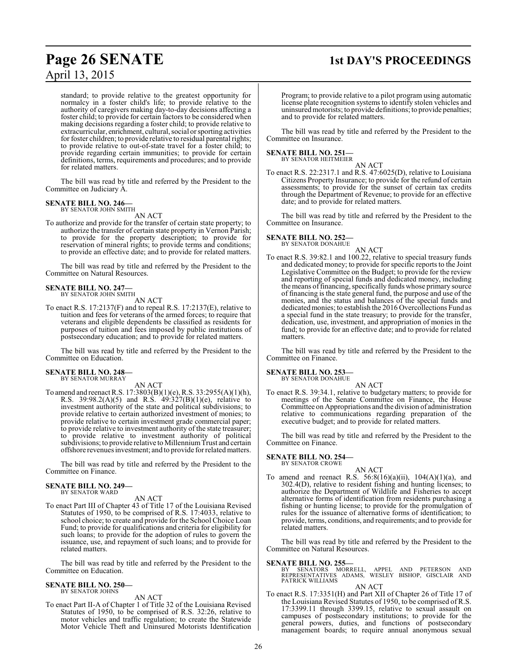standard; to provide relative to the greatest opportunity for normalcy in a foster child's life; to provide relative to the authority of caregivers making day-to-day decisions affecting a foster child; to provide for certain factors to be considered when making decisions regarding a foster child; to provide relative to extracurricular, enrichment, cultural, social or sporting activities for foster children; to provide relative to residual parental rights; to provide relative to out-of-state travel for a foster child; to provide regarding certain immunities; to provide for certain definitions, terms, requirements and procedures; and to provide for related matters.

The bill was read by title and referred by the President to the Committee on Judiciary A.

### **SENATE BILL NO. 246—** BY SENATOR JOHN SMITH

AN ACT

To authorize and provide for the transfer of certain state property; to authorize the transfer of certain state property in Vernon Parish; to provide for the property description; to provide for reservation of mineral rights; to provide terms and conditions; to provide an effective date; and to provide for related matters.

The bill was read by title and referred by the President to the Committee on Natural Resources.

### **SENATE BILL NO. 247—**

BY SENATOR JOHN SMITH AN ACT

To enact R.S. 17:2137(F) and to repeal R.S. 17:2137(E), relative to tuition and fees for veterans of the armed forces; to require that veterans and eligible dependents be classified as residents for purposes of tuition and fees imposed by public institutions of postsecondary education; and to provide for related matters.

The bill was read by title and referred by the President to the Committee on Education.

### **SENATE BILL NO. 248—** BY SENATOR MURRAY

AN ACT

To amend and reenact R.S. 17:3803(B)(1)(e), R.S. 33:2955(A)(1)(h), R.S. 39:98.2(A)(5) and R.S.  $49:327(B)(1)(e)$ , relative to investment authority of the state and political subdivisions; to provide relative to certain authorized investment of monies; to provide relative to certain investment grade commercial paper; to provide relative to investment authority of the state treasurer; to provide relative to investment authority of political subdivisions; to provide relative to Millennium Trust and certain offshore revenues investment; and to provide forrelated matters.

The bill was read by title and referred by the President to the Committee on Finance.

### **SENATE BILL NO. 249—** BY SENATOR WARD

AN ACT

To enact Part III of Chapter 43 of Title 17 of the Louisiana Revised Statutes of 1950, to be comprised of R.S. 17:4033, relative to school choice; to create and provide for the School Choice Loan Fund; to provide for qualifications and criteria for eligibility for such loans; to provide for the adoption of rules to govern the issuance, use, and repayment of such loans; and to provide for related matters.

The bill was read by title and referred by the President to the Committee on Education.

### **SENATE BILL NO. 250—** BY SENATOR JOHNS

AN ACT

To enact Part II-A of Chapter 1 of Title 32 of the Louisiana Revised Statutes of 1950, to be comprised of R.S. 32:26, relative to motor vehicles and traffic regulation; to create the Statewide Motor Vehicle Theft and Uninsured Motorists Identification

# **Page 26 SENATE 1st DAY'S PROCEEDINGS**

Program; to provide relative to a pilot program using automatic license plate recognition systems to identify stolen vehicles and uninsuredmotorists; to provide definitions; to provide penalties; and to provide for related matters.

The bill was read by title and referred by the President to the Committee on Insurance.

**SENATE BILL NO. 251—** BY SENATOR HEITMEIER

AN ACT

To enact R.S. 22:2317.1 and R.S. 47:6025(D), relative to Louisiana Citizens Property Insurance; to provide for the refund of certain assessments; to provide for the sunset of certain tax credits through the Department of Revenue; to provide for an effective date; and to provide for related matters.

The bill was read by title and referred by the President to the Committee on Insurance.

**SENATE BILL NO. 252—** BY SENATOR DONAHUE

### AN ACT

To enact R.S. 39:82.1 and 100.22, relative to special treasury funds and dedicated money; to provide for specific reports to the Joint Legislative Committee on the Budget; to provide for the review and reporting of special funds and dedicated money, including the means offinancing, specifically funds whose primary source of financing is the state general fund, the purpose and use of the monies, and the status and balances of the special funds and dedicatedmonies; to establish the 2016 Overcollections Fund as a special fund in the state treasury; to provide for the transfer, dedication, use, investment, and appropriation of monies in the fund; to provide for an effective date; and to provide for related matters.

The bill was read by title and referred by the President to the Committee on Finance.

### **SENATE BILL NO. 253—** BY SENATOR DONAHUE

AN ACT

To enact R.S. 39:34.1, relative to budgetary matters; to provide for meetings of the Senate Committee on Finance, the House Committee on Appropriations and the division of administration relative to communications regarding preparation of the executive budget; and to provide for related matters.

The bill was read by title and referred by the President to the Committee on Finance.

### **SENATE BILL NO. 254—** BY SENATOR CROWE

AN ACT To amend and reenact R.S.  $56:8(16)(a)(ii)$ ,  $104(A)(1)(a)$ , and 302.4(D), relative to resident fishing and hunting licenses; to authorize the Department of Wildlife and Fisheries to accept alternative forms of identification from residents purchasing a fishing or hunting license; to provide for the promulgation of rules for the issuance of alternative forms of identification; to provide, terms, conditions, and requirements; and to provide for related matters.

The bill was read by title and referred by the President to the Committee on Natural Resources.

**SENATE BILL NO. 255—**<br>BY SENATORS MORRELL, APPEL AND PETERSON AND<br>REPRESENTATIVES ADAMS, WESLEY BISHOP, GISCLAIR AND<br>PATRICK WILLIAMS

AN ACT

To enact R.S. 17:3351(H) and Part XII of Chapter 26 of Title 17 of the Louisiana Revised Statutes of 1950, to be comprised of R.S. 17:3399.11 through 3399.15, relative to sexual assault on campuses of postsecondary institutions; to provide for the general powers, duties, and functions of postsecondary management boards; to require annual anonymous sexual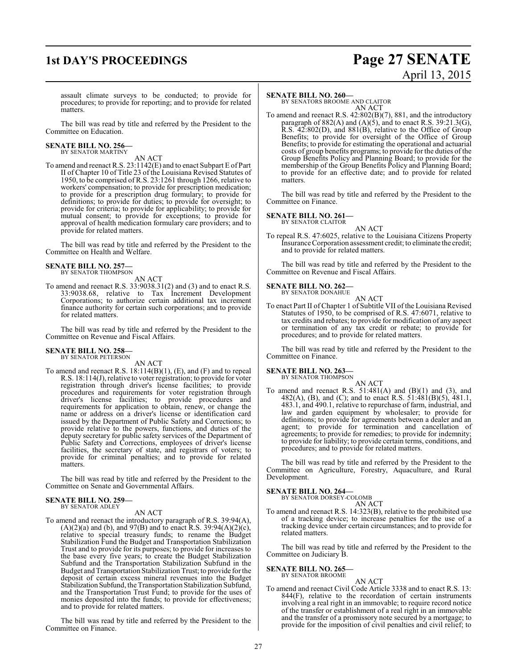# **1st DAY'S PROCEEDINGS Page 27 SENATE** April 13, 2015

assault climate surveys to be conducted; to provide for procedures; to provide for reporting; and to provide for related matters.

The bill was read by title and referred by the President to the Committee on Education.

### **SENATE BILL NO. 256—** BY SENATOR MARTINY

AN ACT

To amend and reenact R.S. 23:1142(E) and to enact Subpart E of Part II of Chapter 10 of Title 23 of the Louisiana Revised Statutes of 1950, to be comprised of R.S. 23:1261 through 1266, relative to workers' compensation; to provide for prescription medication; to provide for a prescription drug formulary; to provide for definitions; to provide for duties; to provide for oversight; to provide for criteria; to provide for applicability; to provide for mutual consent; to provide for exceptions; to provide for approval of health medication formulary care providers; and to provide for related matters.

The bill was read by title and referred by the President to the Committee on Health and Welfare.

### **SENATE BILL NO. 257—** BY SENATOR THOMPSON

AN ACT

To amend and reenact R.S. 33:9038.31(2) and (3) and to enact R.S. 33:9038.68, relative to Tax Increment Development Corporations; to authorize certain additional tax increment finance authority for certain such corporations; and to provide for related matters.

The bill was read by title and referred by the President to the Committee on Revenue and Fiscal Affairs.

### **SENATE BILL NO. 258—** BY SENATOR PETERSON

AN ACT

To amend and reenact R.S. 18:114(B)(1), (E), and (F) and to repeal R.S. 18:114(J), relative to voter registration; to provide for voter registration through driver's license facilities; to provide procedures and requirements for voter registration through driver's license facilities; to provide procedures and requirements for application to obtain, renew, or change the name or address on a driver's license or identification card issued by the Department of Public Safety and Corrections; to provide relative to the powers, functions, and duties of the deputy secretary for public safety services of the Department of Public Safety and Corrections, employees of driver's license facilities, the secretary of state, and registrars of voters; to provide for criminal penalties; and to provide for related matters.

The bill was read by title and referred by the President to the Committee on Senate and Governmental Affairs.

#### **SENATE BILL NO. 259—** BY SENATOR ADLEY

AN ACT

To amend and reenact the introductory paragraph of R.S. 39:94(A),  $(A)(2)(a)$  and (b), and 97(B) and to enact R.S. 39:94 $(A)(2)(c)$ , relative to special treasury funds; to rename the Budget Stabilization Fund the Budget and Transportation Stabilization Trust and to provide for its purposes; to provide for increases to the base every five years; to create the Budget Stabilization Subfund and the Transportation Stabilization Subfund in the Budget and Transportation Stabilization Trust; to provide for the deposit of certain excess mineral revenues into the Budget Stabilization Subfund, the Transportation Stabilization Subfund, and the Transportation Trust Fund; to provide for the uses of monies deposited into the funds; to provide for effectiveness; and to provide for related matters.

The bill was read by title and referred by the President to the Committee on Finance.

### **SENATE BILL NO. 260—**

BY SENATORS BROOME AND CLAITOR AN ACT

To amend and reenact R.S. 42:802(B)(7), 881, and the introductory paragraph of  $882(A)$  and  $(A)(5)$ , and to enact R.S. 39:21.3(G), R.S. 42:802(D), and 881(B), relative to the Office of Group Benefits; to provide for oversight of the Office of Group Benefits; to provide for estimating the operational and actuarial costs of group benefits programs; to provide for the duties of the Group Benefits Policy and Planning Board; to provide for the membership of the Group Benefits Policy and Planning Board; to provide for an effective date; and to provide for related matters.

The bill was read by title and referred by the President to the Committee on Finance.

### **SENATE BILL NO. 261—**

BY SENATOR CLAITOR

AN ACT To repeal R.S. 47:6025, relative to the Louisiana Citizens Property Insurance Corporation assessment credit; to eliminate the credit; and to provide for related matters.

The bill was read by title and referred by the President to the Committee on Revenue and Fiscal Affairs.

### **SENATE BILL NO. 262—** BY SENATOR DONAHUE

AN ACT To enact Part II of Chapter 1 of Subtitle VII of the Louisiana Revised Statutes of 1950, to be comprised of R.S. 47:6071, relative to tax credits and rebates; to provide for modification of any aspect or termination of any tax credit or rebate; to provide for procedures; and to provide for related matters.

The bill was read by title and referred by the President to the Committee on Finance.

### **SENATE BILL NO. 263**<br>BY SENATOR THOMPSON

AN ACT To amend and reenact R.S.  $51:481(A)$  and  $(B)(1)$  and  $(3)$ , and 482(A), (B), and (C); and to enact R.S. 51:481(B)(5), 481.1, 483.1, and 490.1, relative to repurchase of farm, industrial, and law and garden equipment by wholesaler; to provide for definitions; to provide for agreements between a dealer and an agent; to provide for termination and cancellation of agreements; to provide for remedies; to provide for indemnity; to provide for liability; to provide certain terms, conditions, and procedures; and to provide for related matters.

The bill was read by title and referred by the President to the Committee on Agriculture, Forestry, Aquaculture, and Rural Development.

### **SENATE BILL NO. 264—** BY SENATOR DORSEY-COLOMB

AN ACT To amend and reenact R.S. 14:323(B), relative to the prohibited use of a tracking device; to increase penalties for the use of a tracking device under certain circumstances; and to provide for related matters.

The bill was read by title and referred by the President to the Committee on Judiciary B.

### **SENATE BILL NO. 265—** BY SENATOR BROOME

AN ACT To amend and reenact Civil Code Article 3338 and to enact R.S. 13: 844(F), relative to the recordation of certain instruments involving a real right in an immovable; to require record notice of the transfer or establishment of a real right in an immovable and the transfer of a promissory note secured by a mortgage; to provide for the imposition of civil penalties and civil relief; to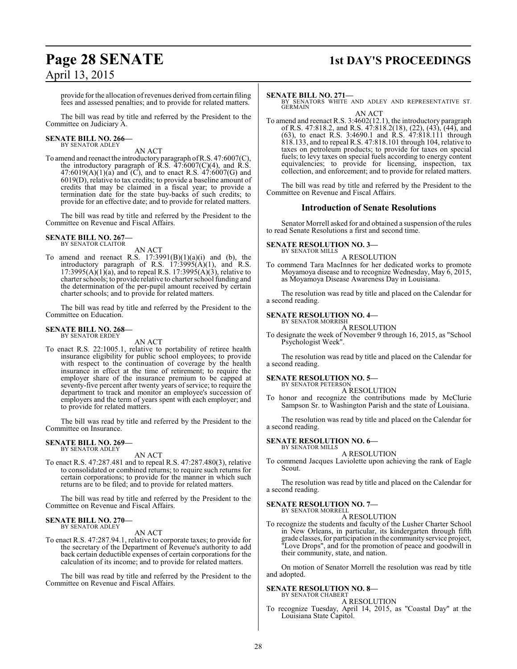# **Page 28 SENATE 1st DAY'S PROCEEDINGS**

provide for the allocation of revenues derived from certain filing fees and assessed penalties; and to provide for related matters.

The bill was read by title and referred by the President to the Committee on Judiciary A.

# **SENATE BILL NO. 266—** BY SENATOR ADLEY

AN ACT

To amend and reenact the introductory paragraph ofR.S. 47:6007(C), the introductory paragraph of  $\overline{R}$ .S.  $\overline{47:6007(C)(4)}$ , and  $\overline{R}$ .S.  $47:6019(A)(1)(a)$  and  $(C)$ , and to enact R.S.  $47:6007(G)$  and 6019(D), relative to tax credits; to provide a baseline amount of credits that may be claimed in a fiscal year; to provide a termination date for the state buy-backs of such credits; to provide for an effective date; and to provide for related matters.

The bill was read by title and referred by the President to the Committee on Revenue and Fiscal Affairs.

#### **SENATE BILL NO. 267—** BY SENATOR CLAITOR

AN ACT

To amend and reenact R.S.  $17:3991(B)(1)(a)(i)$  and (b), the introductory paragraph of R.S.  $17:3995(A)(1)$ , and R.S.  $17:3995(A)(1)(a)$ , and to repeal R.S.  $17:3995(A)(3)$ , relative to charter schools; to provide relative to charter school funding and the determination of the per-pupil amount received by certain charter schools; and to provide for related matters.

The bill was read by title and referred by the President to the Committee on Education.

### **SENATE BILL NO. 268—** BY SENATOR ERDEY

AN ACT

To enact R.S. 22:1005.1, relative to portability of retiree health insurance eligibility for public school employees; to provide with respect to the continuation of coverage by the health insurance in effect at the time of retirement; to require the employer share of the insurance premium to be capped at seventy-five percent after twenty years of service; to require the department to track and monitor an employee's succession of employers and the term of years spent with each employer; and to provide for related matters.

The bill was read by title and referred by the President to the Committee on Insurance.

#### **SENATE BILL NO. 269—** BY SENATOR ADLEY

AN ACT

To enact R.S. 47:287.481 and to repeal R.S. 47:287.480(3), relative to consolidated or combined returns; to require such returns for certain corporations; to provide for the manner in which such returns are to be filed; and to provide for related matters.

The bill was read by title and referred by the President to the Committee on Revenue and Fiscal Affairs.

### **SENATE BILL NO. 270—** BY SENATOR ADLEY

AN ACT

To enact R.S. 47:287.94.1, relative to corporate taxes; to provide for the secretary of the Department of Revenue's authority to add back certain deductible expenses of certain corporations for the calculation of its income; and to provide for related matters.

The bill was read by title and referred by the President to the Committee on Revenue and Fiscal Affairs.

### **SENATE BILL NO. 271—**

BY SENATORS WHITE AND ADLEY AND REPRESENTATIVE ST. GERMAIN AN ACT

To amend and reenact R.S. 3:4602(12.1), the introductory paragraph of R.S. 47:818.2, and R.S. 47:818.2(18), (22), (43), (44), and (63), to enact R.S. 3:4690.1 and R.S. 47:818.111 through 818.133, and to repeal R.S. 47:818.101 through 104, relative to taxes on petroleum products; to provide for taxes on special fuels; to levy taxes on special fuels according to energy content equivalencies; to provide for licensing, inspection, tax collection, and enforcement; and to provide for related matters.

The bill was read by title and referred by the President to the Committee on Revenue and Fiscal Affairs.

### **Introduction of Senate Resolutions**

Senator Morrell asked for and obtained a suspension ofthe rules to read Senate Resolutions a first and second time.

### **SENATE RESOLUTION NO. 3—**

BY SENATOR MILLS A RESOLUTION

To commend Tara MacInnes for her dedicated works to promote Moyamoya disease and to recognize Wednesday, May 6, 2015, as Moyamoya Disease Awareness Day in Louisiana.

The resolution was read by title and placed on the Calendar for a second reading.

# **SENATE RESOLUTION NO. 4—** BY SENATOR MORRISH

A RESOLUTION

To designate the week of November 9 through 16, 2015, as "School Psychologist Week".

The resolution was read by title and placed on the Calendar for a second reading.

#### **SENATE RESOLUTION NO. 5—** BY SENATOR PETERSON

A RESOLUTION

To honor and recognize the contributions made by McClurie Sampson Sr. to Washington Parish and the state of Louisiana.

The resolution was read by title and placed on the Calendar for a second reading.

### **SENATE RESOLUTION NO. 6—** BY SENATOR MILLS

A RESOLUTION

To commend Jacques Laviolette upon achieving the rank of Eagle Scout.

The resolution was read by title and placed on the Calendar for a second reading.

### **SENATE RESOLUTION NO. 7—** BY SENATOR MORRELL

A RESOLUTION

To recognize the students and faculty of the Lusher Charter School in New Orleans, in particular, its kindergarten through fifth grade classes, for participation in the community service project, "Love Drops", and for the promotion of peace and goodwill in their community, state, and nation.

On motion of Senator Morrell the resolution was read by title and adopted.

### **SENATE RESOLUTION NO. 8—**

BY SENATOR CHABERT A RESOLUTION

To recognize Tuesday, April 14, 2015, as "Coastal Day" at the Louisiana State Capitol.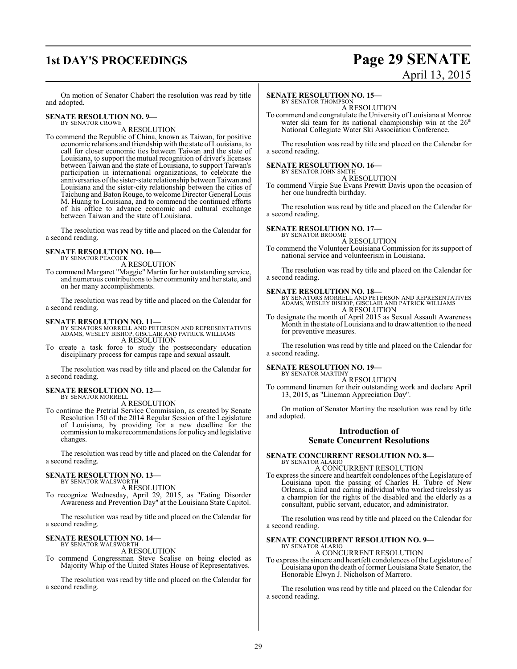### **1st DAY'S PROCEEDINGS Page 29 SENATE** April 13, 2015

On motion of Senator Chabert the resolution was read by title and adopted.

### **SENATE RESOLUTION NO. 9—** BY SENATOR CROWE

A RESOLUTION

To commend the Republic of China, known as Taiwan, for positive economic relations and friendship with the state of Louisiana, to call for closer economic ties between Taiwan and the state of Louisiana, to support the mutual recognition of driver's licenses between Taiwan and the state of Louisiana, to support Taiwan's participation in international organizations, to celebrate the anniversaries ofthe sister-state relationship betweenTaiwan and Louisiana and the sister-city relationship between the cities of Taichung and Baton Rouge, to welcome Director General Louis M. Huang to Louisiana, and to commend the continued efforts of his office to advance economic and cultural exchange between Taiwan and the state of Louisiana.

The resolution was read by title and placed on the Calendar for a second reading.

### **SENATE RESOLUTION NO. 10—** BY SENATOR PEACOCK

A RESOLUTION

To commend Margaret "Maggie" Martin for her outstanding service, and numerous contributions to her community and her state, and on her many accomplishments.

The resolution was read by title and placed on the Calendar for a second reading.

**SENATE RESOLUTION NO. 11—** BY SENATORS MORRELL AND PETERSON AND REPRESENTATIVES ADAMS, WESLEY BISHOP, GISCLAIR AND PATRICK WILLIAMS A RESOLUTION

To create a task force to study the postsecondary education disciplinary process for campus rape and sexual assault.

The resolution was read by title and placed on the Calendar for a second reading.

# **SENATE RESOLUTION NO. 12—** BY SENATOR MORRELL

A RESOLUTION

To continue the Pretrial Service Commission, as created by Senate Resolution 150 of the 2014 Regular Session of the Legislature of Louisiana, by providing for a new deadline for the commission to make recommendations for policyand legislative changes.

The resolution was read by title and placed on the Calendar for a second reading.

### **SENATE RESOLUTION NO. 13—** BY SENATOR WALSWORTH

A RESOLUTION

To recognize Wednesday, April 29, 2015, as "Eating Disorder Awareness and Prevention Day" at the Louisiana State Capitol.

The resolution was read by title and placed on the Calendar for a second reading.

### **SENATE RESOLUTION NO. 14—**<br>BY SENATOR WALSWORTH

A RESOLUTION

To commend Congressman Steve Scalise on being elected as Majority Whip of the United States House of Representatives.

The resolution was read by title and placed on the Calendar for a second reading.

### **SENATE RESOLUTION NO. 15—**

BY SENATOR THOMPSON A RESOLUTION

To commend and congratulate the University ofLouisiana at Monroe water ski team for its national championship win at the 26<sup>th</sup> National Collegiate Water Ski Association Conference.

The resolution was read by title and placed on the Calendar for a second reading.

### **SENATE RESOLUTION NO. 16—**

BY SENATOR JOHN SMITH A RESOLUTION

To commend Virgie Sue Evans Prewitt Davis upon the occasion of her one hundredth birthday.

The resolution was read by title and placed on the Calendar for a second reading.

### **SENATE RESOLUTION NO. 17—**

BY SENATOR BROOME A RESOLUTION

To commend the Volunteer Louisiana Commission for its support of national service and volunteerism in Louisiana.

The resolution was read by title and placed on the Calendar for a second reading.

**SENATE RESOLUTION NO. 18—** BY SENATORS MORRELL AND PETERSON AND REPRESENTATIVES ADAMS, WESLEY BISHOP, GISCLAIR AND PATRICK WILLIAMS A RESOLUTION

To designate the month of April 2015 as Sexual Assault Awareness Month in the state of Louisiana and to draw attention to the need for preventive measures.

The resolution was read by title and placed on the Calendar for a second reading.

### **SENATE RESOLUTION NO. 19—**

BY SENATOR MARTINY A RESOLUTION

To commend linemen for their outstanding work and declare April 13, 2015, as "Lineman Appreciation Day".

On motion of Senator Martiny the resolution was read by title and adopted.

### **Introduction of Senate Concurrent Resolutions**

# **SENATE CONCURRENT RESOLUTION NO. 8—** BY SENATOR ALARIO

A CONCURRENT RESOLUTION

To express the sincere and heartfelt condolences ofthe Legislature of Louisiana upon the passing of Charles H. Tubre of New Orleans, a kind and caring individual who worked tirelessly as a champion for the rights of the disabled and the elderly as a consultant, public servant, educator, and administrator.

The resolution was read by title and placed on the Calendar for a second reading.

### **SENATE CONCURRENT RESOLUTION NO. 9—** BY SENATOR ALARIO

A CONCURRENT RESOLUTION

To express the sincere and heartfelt condolences of the Legislature of Louisiana upon the death of former Louisiana State Senator, the Honorable Elwyn J. Nicholson of Marrero.

The resolution was read by title and placed on the Calendar for a second reading.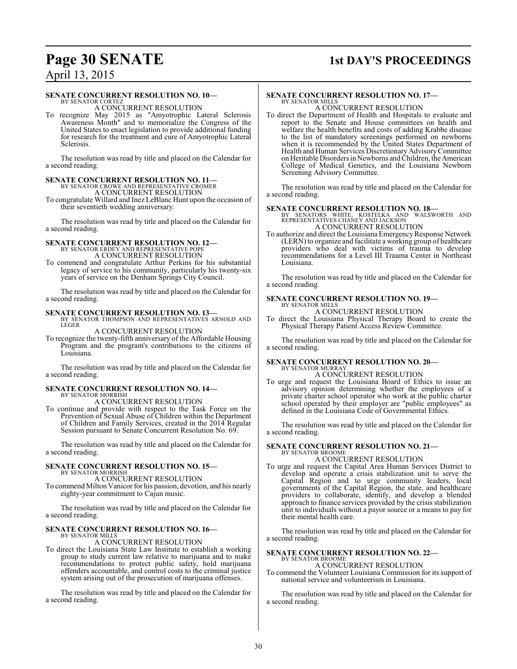### **Page 30 SENATE 1st DAY'S PROCEEDINGS**

### April 13, 2015

### **SENATE CONCURRENT RESOLUTION NO. 10—**

BY SENATOR CORTEZ A CONCURRENT RESOLUTION

To recognize May 2015 as "Amyotrophic Lateral Sclerosis Awareness Month" and to memorialize the Congress of the United States to enact legislation to provide additional funding for research for the treatment and cure of Amyotrophic Lateral Sclerosis.

The resolution was read by title and placed on the Calendar for a second reading.

### **SENATE CONCURRENT RESOLUTION NO. 11—** BY SENATOR CROWE AND REPRESENTATIVE CROMER A CONCURRENT RESOLUTION

To congratulate Willard and Inez LeBlanc Hunt upon the occasion of their seventieth wedding anniversary.

The resolution was read by title and placed on the Calendar for a second reading.

# **SENATE CONCURRENT RESOLUTION NO. 12—** BY SENATOR ERDEY AND REPRESENTATIVE POPE

A CONCURRENT RESOLUTION

To commend and congratulate Arthur Perkins for his substantial legacy of service to his community, particularly his twenty-six years of service on the Denham Springs City Council.

The resolution was read by title and placed on the Calendar for a second reading.

**SENATE CONCURRENT RESOLUTION NO. 13—BY SENATOR THOMPSON AND REPRESENTATIVES ARNOLD AND LEGER** 

### A CONCURRENT RESOLUTION

To recognize the twenty-fifth anniversary of the Affordable Housing Program and the program's contributions to the citizens of Louisiana.

The resolution was read by title and placed on the Calendar for a second reading.

### **SENATE CONCURRENT RESOLUTION NO. 14—** BY SENATOR MORRISH

A CONCURRENT RESOLUTION

To continue and provide with respect to the Task Force on the Prevention of Sexual Abuse of Children within the Department of Children and Family Services, created in the 2014 Regular Session pursuant to Senate Concurrent Resolution No. 69.

The resolution was read by title and placed on the Calendar for a second reading.

### **SENATE CONCURRENT RESOLUTION NO. 15—** BY SENATOR MORRISH

A CONCURRENT RESOLUTION

To commend Milton Vanicor for his passion, devotion, and his nearly eighty-year commitment to Cajun music.

The resolution was read by title and placed on the Calendar for a second reading.

# **SENATE CONCURRENT RESOLUTION NO. 16—** BY SENATOR MILLS

A CONCURRENT RESOLUTION

To direct the Louisiana State Law Institute to establish a working group to study current law relative to marijuana and to make recommendations to protect public safety, hold marijuana offenders accountable, and control costs to the criminal justice system arising out of the prosecution of marijuana offenses.

The resolution was read by title and placed on the Calendar for a second reading.

### **SENATE CONCURRENT RESOLUTION NO. 17—** BY SENATOR MILLS

A CONCURRENT RESOLUTION

To direct the Department of Health and Hospitals to evaluate and report to the Senate and House committees on health and welfare the health benefits and costs of adding Krabbe disease to the list of mandatory screenings performed on newborns when it is recommended by the United States Department of Health and Human Services Discretionary Advisory Committee on Heritable Disorders in Newborns and Children, the American College of Medical Genetics, and the Louisiana Newborn Screening Advisory Committee.

The resolution was read by title and placed on the Calendar for a second reading.

### **SENATE CONCURRENT RESOLUTION NO. 18—**

BY SENATORS WHITE, KOSTELKA AND WALSWORTH AND REPRESENTATIVES CHANEY AND JACKSON A CONCURRENT RESOLUTION

To authorize and direct the Louisiana EmergencyResponse Network (LERN) to organize and facilitate a working group of healthcare providers who deal with victims of trauma to develop recommendations for a Level III Trauma Center in Northeast Louisiana.

The resolution was read by title and placed on the Calendar for a second reading.

### **SENATE CONCURRENT RESOLUTION NO. 19—** BY SENATOR MILLS

A CONCURRENT RESOLUTION

To direct the Louisiana Physical Therapy Board to create the Physical Therapy Patient Access Review Committee.

The resolution was read by title and placed on the Calendar for a second reading.

### **SENATE CONCURRENT RESOLUTION NO. 20—** BY SENATOR MURRAY

### A CONCURRENT RESOLUTION

To urge and request the Louisiana Board of Ethics to issue an advisory opinion determining whether the employees of a private charter school operator who work at the public charter school operated by their employer are "public employees" as defined in the Louisiana Code of Governmental Ethics.

The resolution was read by title and placed on the Calendar for a second reading.

### **SENATE CONCURRENT RESOLUTION NO. 21—** BY SENATOR BROOME

### A CONCURRENT RESOLUTION

To urge and request the Capital Area Human Services District to develop and operate a crisis stabilization unit to serve the Capital Region and to urge community leaders, local governments of the Capital Region, the state, and healthcare providers to collaborate, identify, and develop a blended approach to finance services provided by the crisis stabilization unit to individuals without a payor source or a means to pay for their mental health care.

The resolution was read by title and placed on the Calendar for a second reading.

### **SENATE CONCURRENT RESOLUTION NO. 22—**

BY SENATOR BROOME A CONCURRENT RESOLUTION

To commend the Volunteer Louisiana Commission for its support of national service and volunteerism in Louisiana.

The resolution was read by title and placed on the Calendar for a second reading.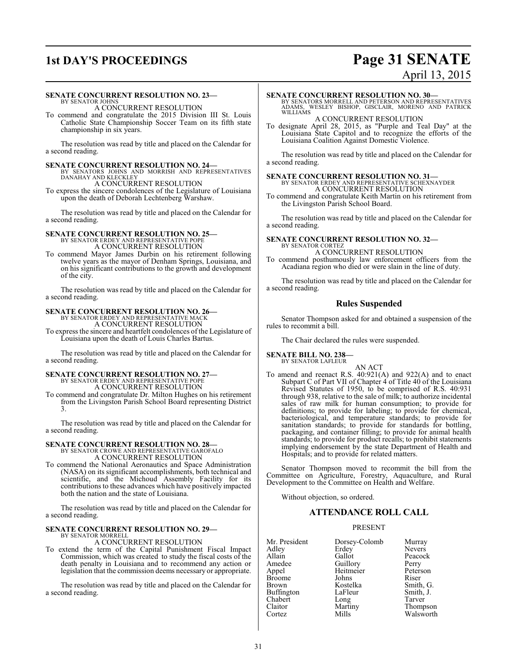### **1st DAY'S PROCEEDINGS Page 31 SENATE** April 13, 2015

### **SENATE CONCURRENT RESOLUTION NO. 23—**

BY SENATOR JOHNS A CONCURRENT RESOLUTION

To commend and congratulate the 2015 Division III St. Louis Catholic State Championship Soccer Team on its fifth state championship in six years.

The resolution was read by title and placed on the Calendar for a second reading.

- **SENATE CONCURRENT RESOLUTION NO. 24—**<br>BY SENATORS JOHNS AND MORRISH AND REPRESENTATIVES<br>DANAHAY AND KLECKLEY
- A CONCURRENT RESOLUTION To express the sincere condolences of the Legislature of Louisiana upon the death of Deborah Lechtenberg Warshaw.

The resolution was read by title and placed on the Calendar for a second reading.

### **SENATE CONCURRENT RESOLUTION NO. 25—** BY SENATOR ERDEY AND REPRESENTATIVE POPE A CONCURRENT RESOLUTION

To commend Mayor James Durbin on his retirement following twelve years as the mayor of Denham Springs, Louisiana, and on his significant contributions to the growth and development of the city.

The resolution was read by title and placed on the Calendar for a second reading.

### **SENATE CONCURRENT RESOLUTION NO. 26—**

BY SENATOR ERDEY AND REPRESENTATIVE MACK A CONCURRENT RESOLUTION

To express the sincere and heartfelt condolences of the Legislature of Louisiana upon the death of Louis Charles Bartus.

The resolution was read by title and placed on the Calendar for a second reading.

### **SENATE CONCURRENT RESOLUTION NO. 27—**

BY SENATOR ERDEY AND REPRESENTATIVE POPE A CONCURRENT RESOLUTION

To commend and congratulate Dr. Milton Hughes on his retirement from the Livingston Parish School Board representing District 3.

The resolution was read by title and placed on the Calendar for a second reading.

# **SENATE CONCURRENT RESOLUTION NO. 28—**<br>BY SENATOR CROWE AND REPRESENTATIVE GAROFALO<br>A CONCURRENT RESOLUTION

To commend the National Aeronautics and Space Administration (NASA) on its significant accomplishments, both technical and scientific, and the Michoud Assembly Facility for its contributions to these advances which have positively impacted both the nation and the state of Louisiana.

The resolution was read by title and placed on the Calendar for a second reading.

### **SENATE CONCURRENT RESOLUTION NO. 29—** BY SENATOR MORRELL

A CONCURRENT RESOLUTION

To extend the term of the Capital Punishment Fiscal Impact Commission, which was created to study the fiscal costs of the death penalty in Louisiana and to recommend any action or legislation that the commission deems necessary or appropriate.

The resolution was read by title and placed on the Calendar for a second reading.

### **SENATE CONCURRENT RESOLUTION NO. 30—**

BY SENATORS MORRELL AND PETERSON AND REPRESENTATIVES ADAMS, WESLEY BISHOP, GISCLAIR, MORENO AND PATRICK WILLIAMS

A CONCURRENT RESOLUTION

To designate April 28, 2015, as "Purple and Teal Day" at the Louisiana State Capitol and to recognize the efforts of the Louisiana Coalition Against Domestic Violence.

The resolution was read by title and placed on the Calendar for a second reading.

# **SENATE CONCURRENT RESOLUTION NO. 31—**<br>BY SENATOR ERDEY AND REPRESENTATIVE SCHEXNAYDER<br>A CONCURRENT RESOLUTION

To commend and congratulate Keith Martin on his retirement from the Livingston Parish School Board.

The resolution was read by title and placed on the Calendar for a second reading.

#### **SENATE CONCURRENT RESOLUTION NO. 32—** BY SENATOR CORTEZ

### A CONCURRENT RESOLUTION

To commend posthumously law enforcement officers from the Acadiana region who died or were slain in the line of duty.

The resolution was read by title and placed on the Calendar for a second reading.

### **Rules Suspended**

Senator Thompson asked for and obtained a suspension of the rules to recommit a bill.

The Chair declared the rules were suspended.

### **SENATE BILL NO. 238—** BY SENATOR LAFLEUR

- AN ACT
- To amend and reenact R.S. 40:921(A) and 922(A) and to enact Subpart C of Part VII of Chapter 4 of Title 40 of the Louisiana Revised Statutes of 1950, to be comprised of R.S. 40:931 through 938, relative to the sale of milk; to authorize incidental sales of raw milk for human consumption; to provide for definitions; to provide for labeling; to provide for chemical, bacteriological, and temperature standards; to provide for sanitation standards; to provide for standards for bottling, packaging, and container filling; to provide for animal health standards; to provide for product recalls; to prohibit statements implying endorsement by the state Department of Health and Hospitals; and to provide for related matters.

Senator Thompson moved to recommit the bill from the Committee on Agriculture, Forestry, Aquaculture, and Rural Development to the Committee on Health and Welfare.

Without objection, so ordered.

### **ATTENDANCE ROLL CALL**

### PRESENT

| Mr. President | Dorsey-Colomb | Murray        |
|---------------|---------------|---------------|
| Adley         | Erdey         | <b>Nevers</b> |
| Allain        | Gallot        | Peacock       |
| Amedee        | Guillory      | Perry         |
| Appel         | Heitmeier     | Peterson      |
| <b>Broome</b> | Johns         | Riser         |
| <b>Brown</b>  | Kostelka      | Smith, G.     |
| Buffington    | LaFleur       | Smith, J.     |
| Chabert       | Long          | Tarver        |
| Claitor       | Martiny       | Thompson      |
| Cortez        | Mills         | Walsworth     |
|               |               |               |